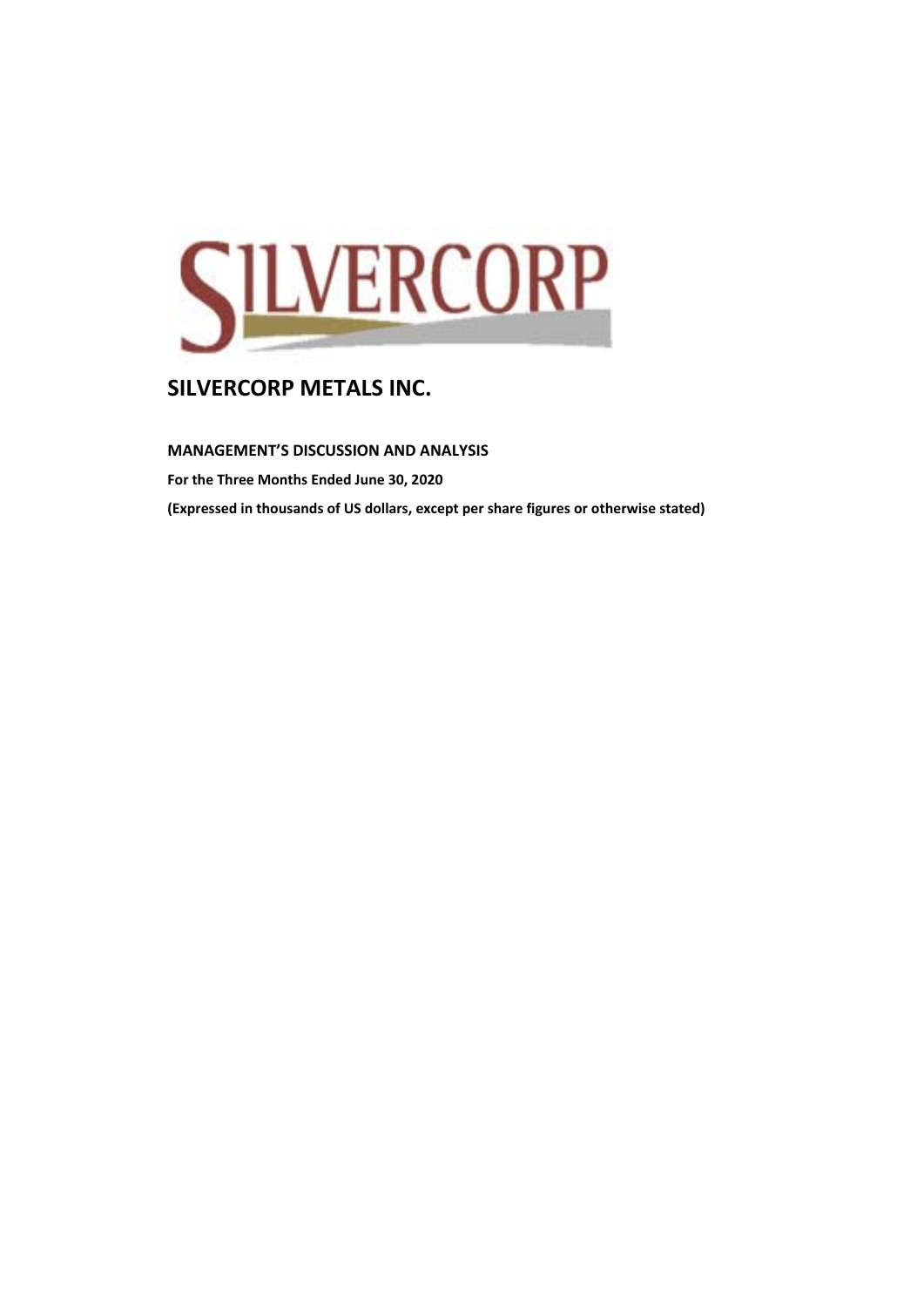

**MANAGEMENT'S DISCUSSION AND ANALYSIS For the Three Months Ended June 30, 2020 (Expressed in thousands of US dollars, except per share figures or otherwise stated)**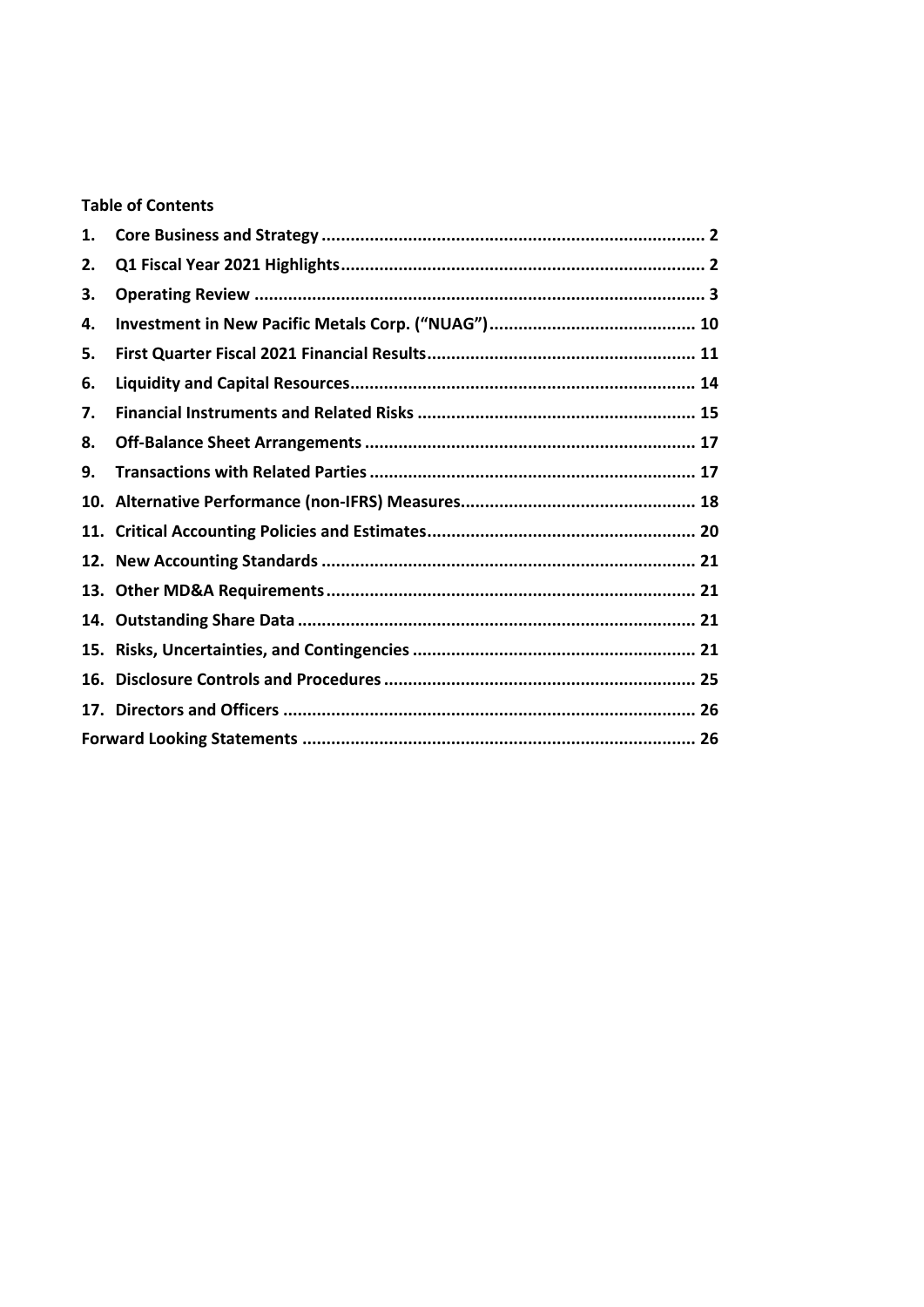## **Table of Contents**

| 1.  |  |
|-----|--|
| 2.  |  |
| З.  |  |
| 4.  |  |
| 5.  |  |
| 6.  |  |
| 7.  |  |
| 8.  |  |
| 9.  |  |
|     |  |
|     |  |
|     |  |
|     |  |
| 14. |  |
|     |  |
| 16. |  |
|     |  |
|     |  |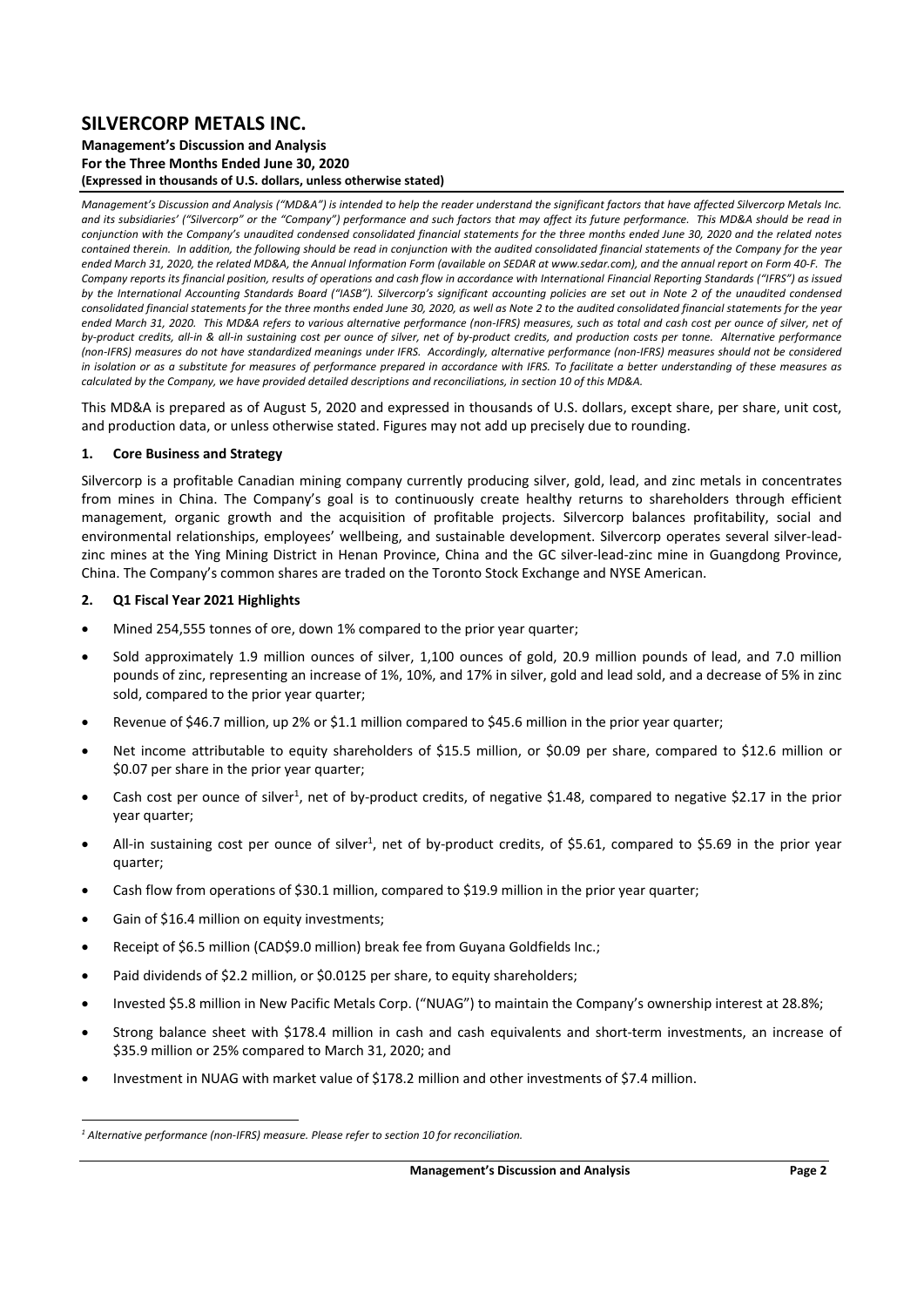### **Management's Discussion and Analysis For the Three Months Ended June 30, 2020 (Expressed in thousands of U.S. dollars, unless otherwise stated)**

*Management's Discussion and Analysis ("MD&A") is intended to help the reader understand the significant factors that have affected Silvercorp Metals Inc. and its subsidiaries' ("Silvercorp" or the "Company") performance and such factors that may affect its future performance. This MD&A should be read in conjunction with the Company's unaudited condensed consolidated financial statements for the three months ended June 30, 2020 and the related notes contained therein. In addition, the following should be read in conjunction with the audited consolidated financial statements of the Company for the year ended March 31, 2020, the related MD&A, the Annual Information Form (available on SEDAR at www.sedar.com), and the annual report on Form 40‐F. The Company reports its financial position, results of operations and cash flow in accordance with International Financial Reporting Standards ("IFRS") as issued by the International Accounting Standards Board ("IASB"). Silvercorp's significant accounting policies are set out in Note 2 of the unaudited condensed consolidated financial statements for the three months ended June 30, 2020, as well as Note 2 to the audited consolidated financial statements for the year ended March 31, 2020. This MD&A refers to various alternative performance (non‐IFRS) measures, such as total and cash cost per ounce of silver, net of by‐product credits, all‐in & all‐in sustaining cost per ounce of silver, net of by‐product credits, and production costs per tonne. Alternative performance (non‐IFRS) measures do not have standardized meanings under IFRS. Accordingly, alternative performance (non‐IFRS) measures should not be considered in isolation or as a substitute for measures of performance prepared in accordance with IFRS. To facilitate a better understanding of these measures as calculated by the Company, we have provided detailed descriptions and reconciliations, in section 10 of this MD&A.* 

This MD&A is prepared as of August 5, 2020 and expressed in thousands of U.S. dollars, except share, per share, unit cost, and production data, or unless otherwise stated. Figures may not add up precisely due to rounding.

#### **1. Core Business and Strategy**

Silvercorp is a profitable Canadian mining company currently producing silver, gold, lead, and zinc metals in concentrates from mines in China. The Company's goal is to continuously create healthy returns to shareholders through efficient management, organic growth and the acquisition of profitable projects. Silvercorp balances profitability, social and environmental relationships, employees' wellbeing, and sustainable development. Silvercorp operates several silver-leadzinc mines at the Ying Mining District in Henan Province, China and the GC silver‐lead‐zinc mine in Guangdong Province, China. The Company's common shares are traded on the Toronto Stock Exchange and NYSE American.

### **2. Q1 Fiscal Year 2021 Highlights**

- Mined 254,555 tonnes of ore, down 1% compared to the prior year quarter;
- Sold approximately 1.9 million ounces of silver, 1,100 ounces of gold, 20.9 million pounds of lead, and 7.0 million pounds of zinc, representing an increase of 1%, 10%, and 17% in silver, gold and lead sold, and a decrease of 5% in zinc sold, compared to the prior year quarter;
- Revenue of \$46.7 million, up 2% or \$1.1 million compared to \$45.6 million in the prior year quarter;
- Net income attributable to equity shareholders of \$15.5 million, or \$0.09 per share, compared to \$12.6 million or \$0.07 per share in the prior year quarter;
- Cash cost per ounce of silver<sup>1</sup>, net of by-product credits, of negative \$1.48, compared to negative \$2.17 in the prior year quarter;
- All-in sustaining cost per ounce of silver<sup>1</sup>, net of by-product credits, of \$5.61, compared to \$5.69 in the prior year quarter;
- Cash flow from operations of \$30.1 million, compared to \$19.9 million in the prior year quarter;
- Gain of \$16.4 million on equity investments;
- Receipt of \$6.5 million (CAD\$9.0 million) break fee from Guyana Goldfields Inc.;
- Paid dividends of \$2.2 million, or \$0.0125 per share, to equity shareholders;
- Invested \$5.8 million in New Pacific Metals Corp. ("NUAG") to maintain the Company's ownership interest at 28.8%;
- Strong balance sheet with \$178.4 million in cash and cash equivalents and short-term investments, an increase of \$35.9 million or 25% compared to March 31, 2020; and
- Investment in NUAG with market value of \$178.2 million and other investments of \$7.4 million.

<sup>&</sup>lt;sup>1</sup> Alternative performance (non-IFRS) measure. Please refer to section 10 for reconciliation.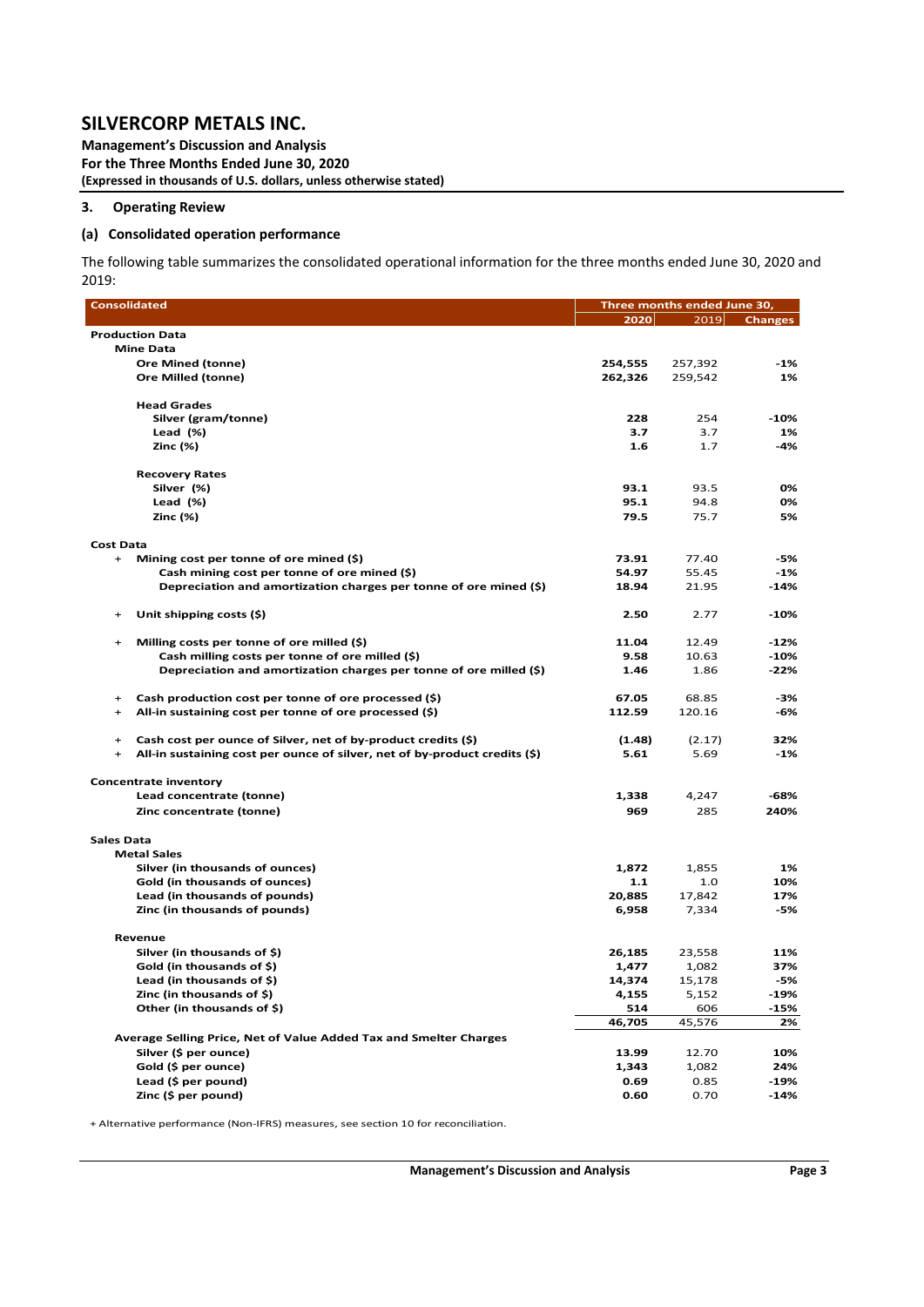**Management's Discussion and Analysis For the Three Months Ended June 30, 2020 (Expressed in thousands of U.S. dollars, unless otherwise stated)** 

### **3. Operating Review**

### **(a) Consolidated operation performance**

The following table summarizes the consolidated operational information for the three months ended June 30, 2020 and 2019:

| <b>Consolidated</b>                                                                     | Three months ended June 30, |         |                |  |  |  |  |  |  |
|-----------------------------------------------------------------------------------------|-----------------------------|---------|----------------|--|--|--|--|--|--|
|                                                                                         | 2020                        | 2019    | <b>Changes</b> |  |  |  |  |  |  |
| <b>Production Data</b>                                                                  |                             |         |                |  |  |  |  |  |  |
| <b>Mine Data</b>                                                                        |                             |         |                |  |  |  |  |  |  |
| <b>Ore Mined (tonne)</b>                                                                | 254,555                     | 257,392 | -1%            |  |  |  |  |  |  |
| Ore Milled (tonne)                                                                      | 262,326                     | 259,542 | 1%             |  |  |  |  |  |  |
|                                                                                         |                             |         |                |  |  |  |  |  |  |
| <b>Head Grades</b>                                                                      |                             |         |                |  |  |  |  |  |  |
| Silver (gram/tonne)                                                                     | 228                         | 254     | $-10%$         |  |  |  |  |  |  |
| Lead $(\%)$                                                                             | 3.7                         | 3.7     | 1%             |  |  |  |  |  |  |
| <b>Zinc (%)</b>                                                                         | 1.6                         | 1.7     | -4%            |  |  |  |  |  |  |
|                                                                                         |                             |         |                |  |  |  |  |  |  |
| <b>Recovery Rates</b>                                                                   |                             |         |                |  |  |  |  |  |  |
| Silver (%)                                                                              | 93.1                        | 93.5    | 0%             |  |  |  |  |  |  |
| Lead $(\%)$                                                                             | 95.1                        | 94.8    | 0%             |  |  |  |  |  |  |
| Zinc (%)                                                                                | 79.5                        | 75.7    | 5%             |  |  |  |  |  |  |
|                                                                                         |                             |         |                |  |  |  |  |  |  |
| <b>Cost Data</b>                                                                        |                             |         |                |  |  |  |  |  |  |
| Mining cost per tonne of ore mined (\$)<br>$+$                                          | 73.91                       | 77.40   | $-5%$          |  |  |  |  |  |  |
| Cash mining cost per tonne of ore mined (\$)                                            | 54.97                       | 55.45   | $-1%$          |  |  |  |  |  |  |
| Depreciation and amortization charges per tonne of ore mined (\$)                       | 18.94                       | 21.95   | $-14%$         |  |  |  |  |  |  |
|                                                                                         |                             |         |                |  |  |  |  |  |  |
| Unit shipping costs (\$)<br>$\ddot{}$                                                   | 2.50                        | 2.77    | $-10%$         |  |  |  |  |  |  |
| $\ddot{}$                                                                               | 11.04                       | 12.49   | $-12%$         |  |  |  |  |  |  |
| Milling costs per tonne of ore milled (\$)                                              | 9.58                        | 10.63   | $-10%$         |  |  |  |  |  |  |
| Cash milling costs per tonne of ore milled (\$)                                         |                             |         |                |  |  |  |  |  |  |
| Depreciation and amortization charges per tonne of ore milled (\$)                      | 1.46                        | 1.86    | $-22%$         |  |  |  |  |  |  |
| Cash production cost per tonne of ore processed (\$)<br>$+$                             | 67.05                       | 68.85   | -3%            |  |  |  |  |  |  |
| All-in sustaining cost per tonne of ore processed (\$)<br>$\ddot{}$                     | 112.59                      | 120.16  | -6%            |  |  |  |  |  |  |
|                                                                                         |                             |         |                |  |  |  |  |  |  |
| Cash cost per ounce of Silver, net of by-product credits (\$)<br>$\ddot{}$              | (1.48)                      | (2.17)  | 32%            |  |  |  |  |  |  |
| All-in sustaining cost per ounce of silver, net of by-product credits (\$)<br>$\ddot{}$ | 5.61                        | 5.69    | $-1%$          |  |  |  |  |  |  |
|                                                                                         |                             |         |                |  |  |  |  |  |  |
| <b>Concentrate inventory</b>                                                            |                             |         |                |  |  |  |  |  |  |
| Lead concentrate (tonne)                                                                | 1,338                       | 4,247   | $-68%$         |  |  |  |  |  |  |
| Zinc concentrate (tonne)                                                                | 969                         | 285     | 240%           |  |  |  |  |  |  |
|                                                                                         |                             |         |                |  |  |  |  |  |  |
| <b>Sales Data</b>                                                                       |                             |         |                |  |  |  |  |  |  |
| <b>Metal Sales</b>                                                                      |                             |         |                |  |  |  |  |  |  |
| Silver (in thousands of ounces)                                                         | 1,872                       | 1,855   | 1%             |  |  |  |  |  |  |
| Gold (in thousands of ounces)                                                           | $1.1$                       | 1.0     | 10%            |  |  |  |  |  |  |
| Lead (in thousands of pounds)                                                           | 20,885                      | 17,842  | 17%            |  |  |  |  |  |  |
| Zinc (in thousands of pounds)                                                           | 6,958                       | 7,334   | -5%            |  |  |  |  |  |  |
|                                                                                         |                             |         |                |  |  |  |  |  |  |
| Revenue                                                                                 |                             |         |                |  |  |  |  |  |  |
| Silver (in thousands of \$)                                                             | 26,185                      | 23,558  | 11%            |  |  |  |  |  |  |
| Gold (in thousands of \$)                                                               | 1,477                       | 1,082   | 37%            |  |  |  |  |  |  |
| Lead (in thousands of \$)                                                               | 14,374                      | 15,178  | -5%            |  |  |  |  |  |  |
| Zinc (in thousands of \$)                                                               | 4,155                       | 5,152   | $-19%$         |  |  |  |  |  |  |
| Other (in thousands of \$)                                                              | 514                         | 606     | $-15%$         |  |  |  |  |  |  |
|                                                                                         | 46,705                      | 45,576  | 2%             |  |  |  |  |  |  |
| Average Selling Price, Net of Value Added Tax and Smelter Charges                       |                             |         |                |  |  |  |  |  |  |
| Silver (\$ per ounce)                                                                   | 13.99                       | 12.70   | 10%            |  |  |  |  |  |  |
| Gold (\$ per ounce)                                                                     | 1,343                       | 1,082   | 24%            |  |  |  |  |  |  |
| Lead (\$ per pound)                                                                     | 0.69                        | 0.85    | $-19%$         |  |  |  |  |  |  |
| Zinc (\$ per pound)                                                                     | 0.60                        | 0.70    | $-14%$         |  |  |  |  |  |  |
|                                                                                         |                             |         |                |  |  |  |  |  |  |

+ Alternative performance (Non‐IFRS) measures, see section 10 for reconciliation.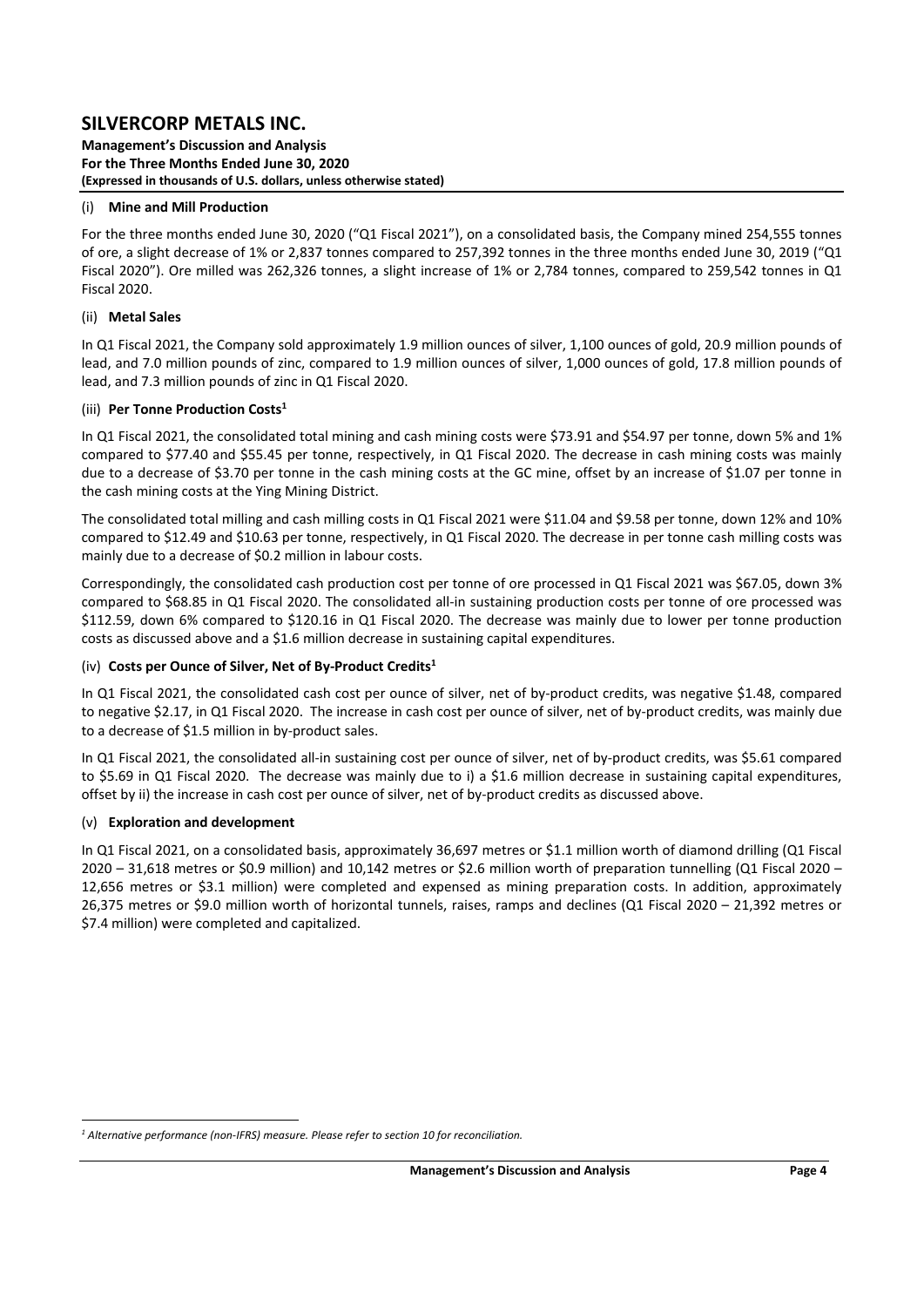**Management's Discussion and Analysis For the Three Months Ended June 30, 2020 (Expressed in thousands of U.S. dollars, unless otherwise stated)** 

### (i) **Mine and Mill Production**

For the three months ended June 30, 2020 ("Q1 Fiscal 2021"), on a consolidated basis, the Company mined 254,555 tonnes of ore, a slight decrease of 1% or 2,837 tonnes compared to 257,392 tonnes in the three months ended June 30, 2019 ("Q1 Fiscal 2020"). Ore milled was 262,326 tonnes, a slight increase of 1% or 2,784 tonnes, compared to 259,542 tonnes in Q1 Fiscal 2020.

### (ii) **Metal Sales**

In Q1 Fiscal 2021, the Company sold approximately 1.9 million ounces of silver, 1,100 ounces of gold, 20.9 million pounds of lead, and 7.0 million pounds of zinc, compared to 1.9 million ounces of silver, 1,000 ounces of gold, 17.8 million pounds of lead, and 7.3 million pounds of zinc in Q1 Fiscal 2020.

### (iii) **Per Tonne Production Costs1**

In Q1 Fiscal 2021, the consolidated total mining and cash mining costs were \$73.91 and \$54.97 per tonne, down 5% and 1% compared to \$77.40 and \$55.45 per tonne, respectively, in Q1 Fiscal 2020. The decrease in cash mining costs was mainly due to a decrease of \$3.70 per tonne in the cash mining costs at the GC mine, offset by an increase of \$1.07 per tonne in the cash mining costs at the Ying Mining District.

The consolidated total milling and cash milling costs in Q1 Fiscal 2021 were \$11.04 and \$9.58 per tonne, down 12% and 10% compared to \$12.49 and \$10.63 per tonne, respectively, in Q1 Fiscal 2020. The decrease in per tonne cash milling costs was mainly due to a decrease of \$0.2 million in labour costs.

Correspondingly, the consolidated cash production cost per tonne of ore processed in Q1 Fiscal 2021 was \$67.05, down 3% compared to \$68.85 in Q1 Fiscal 2020. The consolidated all-in sustaining production costs per tonne of ore processed was \$112.59, down 6% compared to \$120.16 in Q1 Fiscal 2020. The decrease was mainly due to lower per tonne production costs as discussed above and a \$1.6 million decrease in sustaining capital expenditures.

### (iv) **Costs per Ounce of Silver, Net of By‐Product Credits1**

In Q1 Fiscal 2021, the consolidated cash cost per ounce of silver, net of by-product credits, was negative \$1.48, compared to negative \$2.17, in Q1 Fiscal 2020. The increase in cash cost per ounce of silver, net of by-product credits, was mainly due to a decrease of \$1.5 million in by‐product sales.

In Q1 Fiscal 2021, the consolidated all-in sustaining cost per ounce of silver, net of by-product credits, was \$5.61 compared to \$5.69 in Q1 Fiscal 2020. The decrease was mainly due to i) a \$1.6 million decrease in sustaining capital expenditures, offset by ii) the increase in cash cost per ounce of silver, net of by‐product credits as discussed above.

### (v) **Exploration and development**

In Q1 Fiscal 2021, on a consolidated basis, approximately 36,697 metres or \$1.1 million worth of diamond drilling (Q1 Fiscal 2020 – 31,618 metres or \$0.9 million) and 10,142 metres or \$2.6 million worth of preparation tunnelling (Q1 Fiscal 2020 – 12,656 metres or \$3.1 million) were completed and expensed as mining preparation costs. In addition, approximately 26,375 metres or \$9.0 million worth of horizontal tunnels, raises, ramps and declines (Q1 Fiscal 2020 – 21,392 metres or \$7.4 million) were completed and capitalized.

<sup>&</sup>lt;sup>1</sup> Alternative performance (non-IFRS) measure. Please refer to section 10 for reconciliation.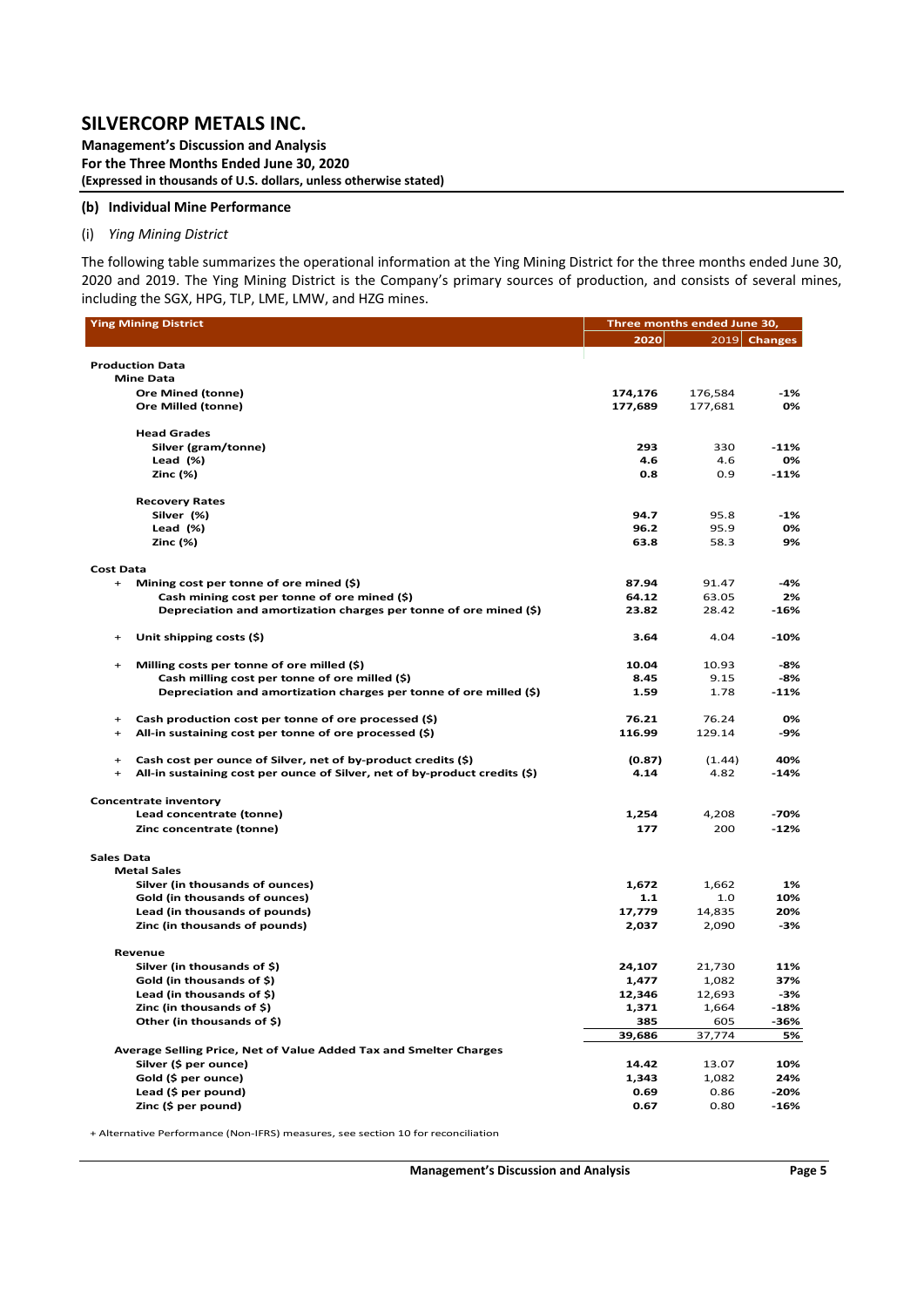**Management's Discussion and Analysis For the Three Months Ended June 30, 2020 (Expressed in thousands of U.S. dollars, unless otherwise stated)** 

#### **(b) Individual Mine Performance**

#### (i) *Ying Mining District*

The following table summarizes the operational information at the Ying Mining District for the three months ended June 30, 2020 and 2019. The Ying Mining District is the Company's primary sources of production, and consists of several mines, including the SGX, HPG, TLP, LME, LMW, and HZG mines.

| <b>Ying Mining District</b>                                                       | Three months ended June 30, |                 |                |  |  |  |  |
|-----------------------------------------------------------------------------------|-----------------------------|-----------------|----------------|--|--|--|--|
|                                                                                   | 2020                        |                 | $2019$ Changes |  |  |  |  |
|                                                                                   |                             |                 |                |  |  |  |  |
| <b>Production Data</b><br><b>Mine Data</b>                                        |                             |                 |                |  |  |  |  |
| <b>Ore Mined (tonne)</b>                                                          | 174,176                     | 176,584         | -1%            |  |  |  |  |
| Ore Milled (tonne)                                                                | 177,689                     | 177,681         | 0%             |  |  |  |  |
|                                                                                   |                             |                 |                |  |  |  |  |
| <b>Head Grades</b>                                                                |                             |                 |                |  |  |  |  |
| Silver (gram/tonne)                                                               | 293                         | 330             | $-11%$         |  |  |  |  |
| Lead (%)                                                                          | 4.6                         | 4.6             | 0%             |  |  |  |  |
| Zinc (%)                                                                          | 0.8                         | 0.9             | $-11%$         |  |  |  |  |
| <b>Recovery Rates</b>                                                             |                             |                 |                |  |  |  |  |
| Silver (%)                                                                        | 94.7                        | 95.8            | $-1%$          |  |  |  |  |
| Lead (%)                                                                          | 96.2                        | 95.9            | 0%             |  |  |  |  |
| Zinc (%)                                                                          | 63.8                        | 58.3            | 9%             |  |  |  |  |
|                                                                                   |                             |                 |                |  |  |  |  |
| <b>Cost Data</b><br>Mining cost per tonne of ore mined (\$)<br>$+$                | 87.94                       | 91.47           | -4%            |  |  |  |  |
| Cash mining cost per tonne of ore mined (\$)                                      | 64.12                       | 63.05           | 2%             |  |  |  |  |
| Depreciation and amortization charges per tonne of ore mined (\$)                 | 23.82                       | 28.42           | $-16%$         |  |  |  |  |
|                                                                                   |                             |                 |                |  |  |  |  |
| Unit shipping costs (\$)<br>$\ddot{}$                                             | 3.64                        | 4.04            | $-10%$         |  |  |  |  |
| Milling costs per tonne of ore milled (\$)<br>$\ddot{}$                           | 10.04                       | 10.93           | -8%            |  |  |  |  |
| Cash milling cost per tonne of ore milled (\$)                                    | 8.45                        | 9.15            | -8%            |  |  |  |  |
| Depreciation and amortization charges per tonne of ore milled (\$)                | 1.59                        | 1.78            | $-11%$         |  |  |  |  |
|                                                                                   |                             |                 |                |  |  |  |  |
| Cash production cost per tonne of ore processed (\$)<br>$+$<br>$+$                | 76.21<br>116.99             | 76.24<br>129.14 | 0%<br>-9%      |  |  |  |  |
| All-in sustaining cost per tonne of ore processed (\$)                            |                             |                 |                |  |  |  |  |
| Cash cost per ounce of Silver, net of by-product credits (\$)<br>$\ddot{}$        | (0.87)                      | (1.44)          | 40%            |  |  |  |  |
| All-in sustaining cost per ounce of Silver, net of by-product credits (\$)<br>$+$ | 4.14                        | 4.82            | -14%           |  |  |  |  |
| <b>Concentrate inventory</b>                                                      |                             |                 |                |  |  |  |  |
| Lead concentrate (tonne)                                                          | 1,254                       | 4,208           | $-70%$         |  |  |  |  |
| Zinc concentrate (tonne)                                                          | 177                         | 200             | $-12%$         |  |  |  |  |
|                                                                                   |                             |                 |                |  |  |  |  |
| <b>Sales Data</b><br><b>Metal Sales</b>                                           |                             |                 |                |  |  |  |  |
| Silver (in thousands of ounces)                                                   | 1,672                       | 1,662           | 1%             |  |  |  |  |
| Gold (in thousands of ounces)                                                     | 1.1                         | 1.0             | 10%            |  |  |  |  |
| Lead (in thousands of pounds)                                                     | 17,779                      | 14,835          | 20%            |  |  |  |  |
| Zinc (in thousands of pounds)                                                     | 2,037                       | 2,090           | -3%            |  |  |  |  |
|                                                                                   |                             |                 |                |  |  |  |  |
| Revenue                                                                           |                             |                 |                |  |  |  |  |
| Silver (in thousands of \$)<br>Gold (in thousands of \$)                          | 24,107<br>1,477             | 21,730<br>1,082 | 11%<br>37%     |  |  |  |  |
| Lead (in thousands of \$)                                                         | 12,346                      | 12,693          | -3%            |  |  |  |  |
| Zinc (in thousands of \$)                                                         | 1,371                       | 1,664           | $-18%$         |  |  |  |  |
| Other (in thousands of \$)                                                        | 385                         | 605             | -36%           |  |  |  |  |
|                                                                                   | 39,686                      | 37,774          | 5%             |  |  |  |  |
| Average Selling Price, Net of Value Added Tax and Smelter Charges                 |                             |                 |                |  |  |  |  |
| Silver (\$ per ounce)                                                             | 14.42                       | 13.07           | 10%            |  |  |  |  |
| Gold (\$ per ounce)                                                               | 1,343                       | 1,082           | 24%            |  |  |  |  |
| Lead (\$ per pound)                                                               | 0.69                        | 0.86            | $-20%$         |  |  |  |  |
| Zinc (\$ per pound)                                                               | 0.67                        | 0.80            | $-16%$         |  |  |  |  |

+ Alternative Performance (Non‐IFRS) measures, see section 10 for reconciliation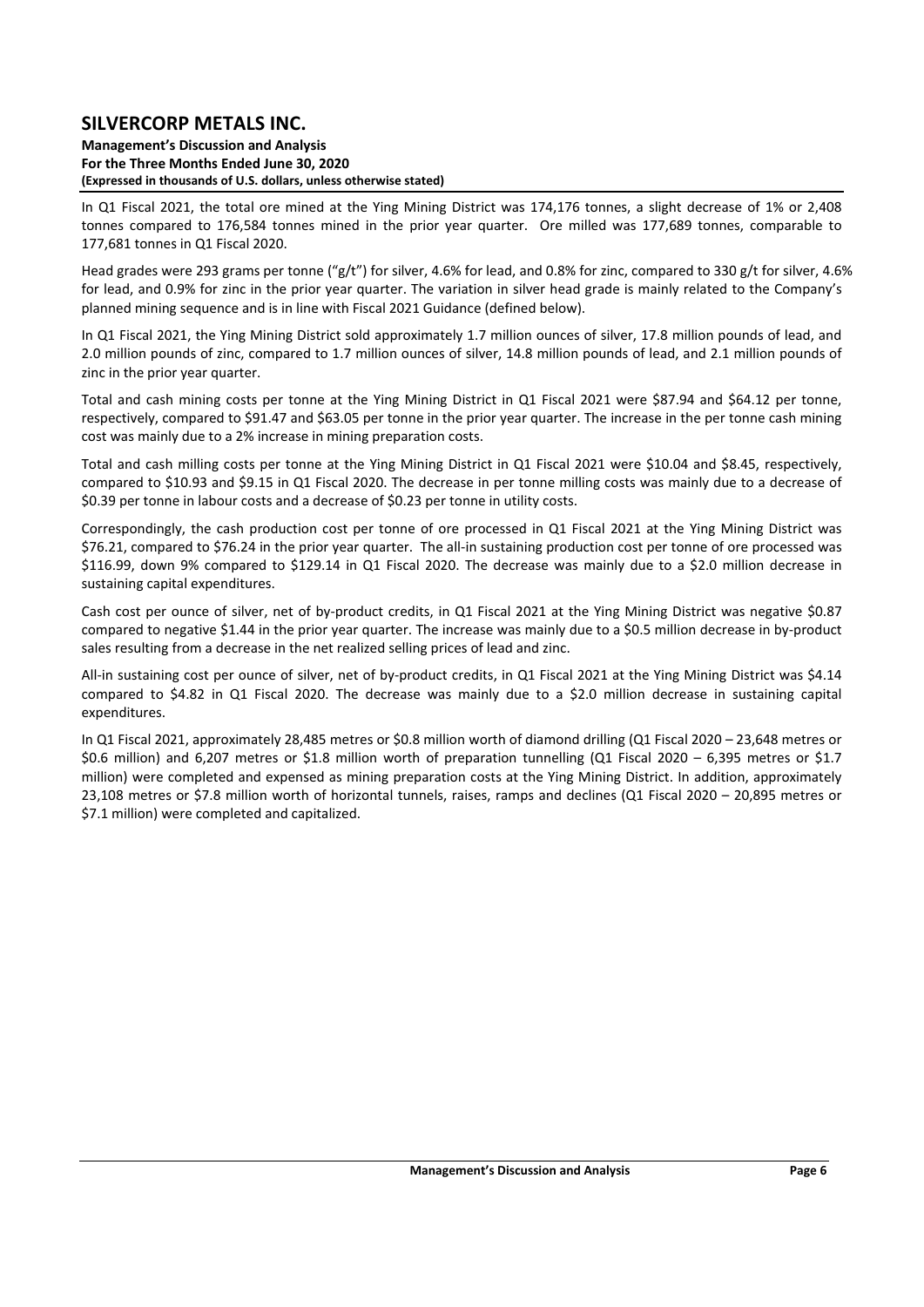**Management's Discussion and Analysis For the Three Months Ended June 30, 2020 (Expressed in thousands of U.S. dollars, unless otherwise stated)** 

In Q1 Fiscal 2021, the total ore mined at the Ying Mining District was 174,176 tonnes, a slight decrease of 1% or 2,408 tonnes compared to 176,584 tonnes mined in the prior year quarter. Ore milled was 177,689 tonnes, comparable to 177,681 tonnes in Q1 Fiscal 2020.

Head grades were 293 grams per tonne ("g/t") for silver, 4.6% for lead, and 0.8% for zinc, compared to 330 g/t for silver, 4.6% for lead, and 0.9% for zinc in the prior year quarter. The variation in silver head grade is mainly related to the Company's planned mining sequence and is in line with Fiscal 2021 Guidance (defined below).

In Q1 Fiscal 2021, the Ying Mining District sold approximately 1.7 million ounces of silver, 17.8 million pounds of lead, and 2.0 million pounds of zinc, compared to 1.7 million ounces of silver, 14.8 million pounds of lead, and 2.1 million pounds of zinc in the prior year quarter.

Total and cash mining costs per tonne at the Ying Mining District in Q1 Fiscal 2021 were \$87.94 and \$64.12 per tonne, respectively, compared to \$91.47 and \$63.05 per tonne in the prior year quarter. The increase in the per tonne cash mining cost was mainly due to a 2% increase in mining preparation costs.

Total and cash milling costs per tonne at the Ying Mining District in Q1 Fiscal 2021 were \$10.04 and \$8.45, respectively, compared to \$10.93 and \$9.15 in Q1 Fiscal 2020. The decrease in per tonne milling costs was mainly due to a decrease of \$0.39 per tonne in labour costs and a decrease of \$0.23 per tonne in utility costs.

Correspondingly, the cash production cost per tonne of ore processed in Q1 Fiscal 2021 at the Ying Mining District was \$76.21, compared to \$76.24 in the prior year quarter. The all‐in sustaining production cost per tonne of ore processed was \$116.99, down 9% compared to \$129.14 in Q1 Fiscal 2020. The decrease was mainly due to a \$2.0 million decrease in sustaining capital expenditures.

Cash cost per ounce of silver, net of by‐product credits, in Q1 Fiscal 2021 at the Ying Mining District was negative \$0.87 compared to negative \$1.44 in the prior year quarter. The increase was mainly due to a \$0.5 million decrease in by-product sales resulting from a decrease in the net realized selling prices of lead and zinc.

All-in sustaining cost per ounce of silver, net of by-product credits, in Q1 Fiscal 2021 at the Ying Mining District was \$4.14 compared to \$4.82 in Q1 Fiscal 2020. The decrease was mainly due to a \$2.0 million decrease in sustaining capital expenditures.

In Q1 Fiscal 2021, approximately 28,485 metres or \$0.8 million worth of diamond drilling (Q1 Fiscal 2020 – 23,648 metres or \$0.6 million) and 6,207 metres or \$1.8 million worth of preparation tunnelling  $(Q1$  Fiscal 2020 - 6,395 metres or \$1.7 million) were completed and expensed as mining preparation costs at the Ying Mining District. In addition, approximately 23,108 metres or \$7.8 million worth of horizontal tunnels, raises, ramps and declines (Q1 Fiscal 2020 – 20,895 metres or \$7.1 million) were completed and capitalized.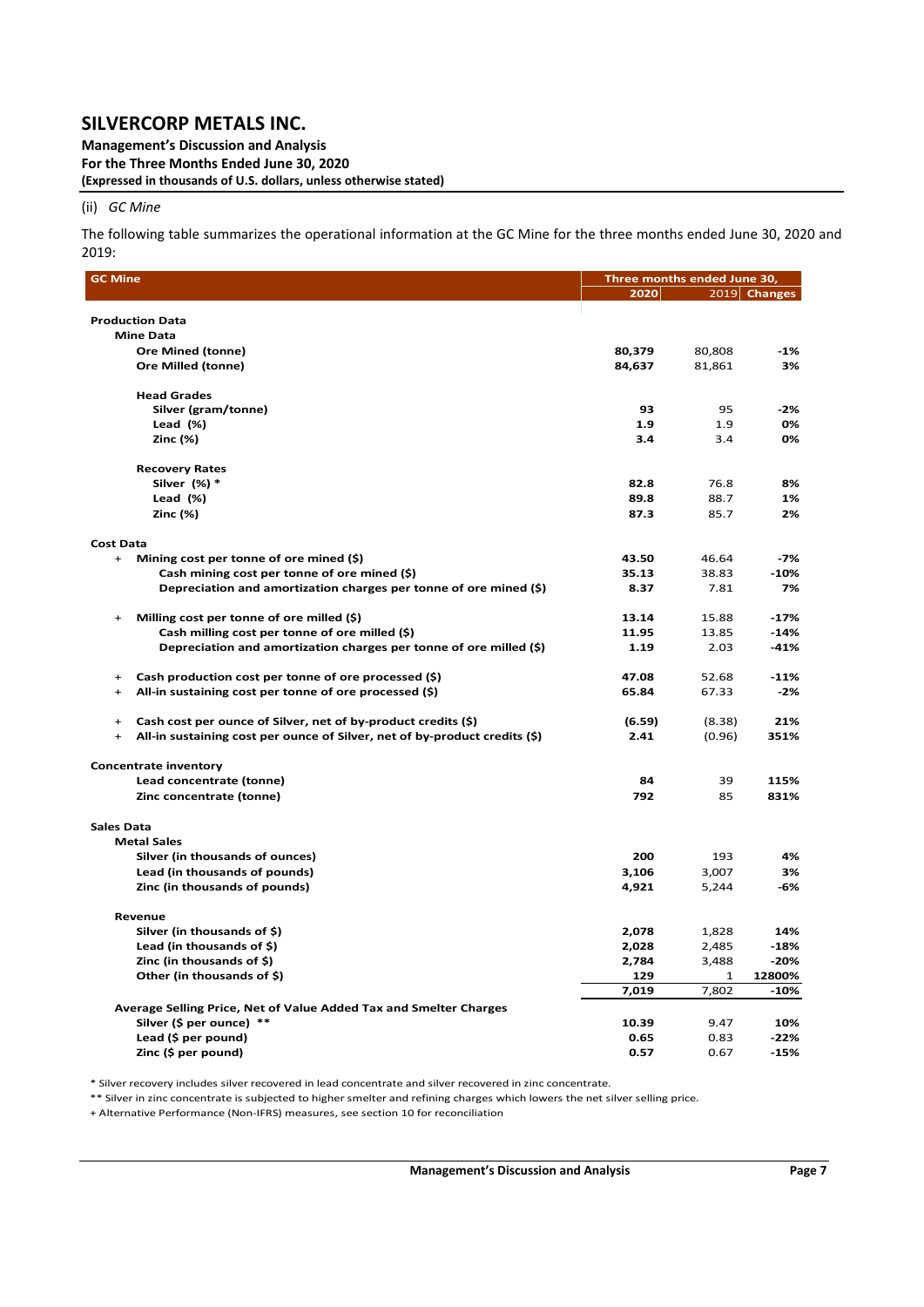**Management's Discussion and Analysis For the Three Months Ended June 30, 2020 (Expressed in thousands of U.S. dollars, unless otherwise stated)** 

#### (ii) *GC Mine*

The following table summarizes the operational information at the GC Mine for the three months ended June 30, 2020 and 2019:

| <b>GC Mine</b>                                                                          | Three months ended June 30, |        |                |
|-----------------------------------------------------------------------------------------|-----------------------------|--------|----------------|
|                                                                                         | 2020                        |        | $2019$ Changes |
|                                                                                         |                             |        |                |
| <b>Production Data</b>                                                                  |                             |        |                |
| <b>Mine Data</b>                                                                        |                             |        |                |
| <b>Ore Mined (tonne)</b><br>Ore Milled (tonne)                                          | 80,379                      | 80,808 | -1%<br>3%      |
|                                                                                         | 84,637                      | 81,861 |                |
| <b>Head Grades</b>                                                                      |                             |        |                |
| Silver (gram/tonne)                                                                     | 93                          | 95     | $-2%$          |
| Lead $(\%)$                                                                             | 1.9                         | 1.9    | 0%             |
| Zinc (%)                                                                                | 3.4                         | 3.4    | 0%             |
|                                                                                         |                             |        |                |
| <b>Recovery Rates</b>                                                                   |                             |        |                |
| Silver (%) *                                                                            | 82.8                        | 76.8   | 8%             |
| Lead (%)                                                                                | 89.8                        | 88.7   | 1%             |
| Zinc (%)                                                                                | 87.3                        | 85.7   | 2%             |
|                                                                                         |                             |        |                |
| <b>Cost Data</b><br>$+$<br>Mining cost per tonne of ore mined $(\xi)$                   | 43.50                       | 46.64  | $-7%$          |
| Cash mining cost per tonne of ore mined (\$)                                            | 35.13                       | 38.83  | $-10%$         |
| Depreciation and amortization charges per tonne of ore mined (\$)                       | 8.37                        | 7.81   | 7%             |
|                                                                                         |                             |        |                |
| Milling cost per tonne of ore milled (\$)<br>$+$                                        | 13.14                       | 15.88  | $-17%$         |
| Cash milling cost per tonne of ore milled (\$)                                          | 11.95                       | 13.85  | $-14%$         |
| Depreciation and amortization charges per tonne of ore milled (\$)                      | 1.19                        | 2.03   | $-41%$         |
|                                                                                         |                             |        |                |
| Cash production cost per tonne of ore processed (\$)<br>$\ddot{}$                       | 47.08                       | 52.68  | $-11%$         |
| All-in sustaining cost per tonne of ore processed (\$)<br>$\ddot{}$                     | 65.84                       | 67.33  | $-2%$          |
| Cash cost per ounce of Silver, net of by-product credits (\$)<br>$\ddot{}$              | (6.59)                      | (8.38) | 21%            |
| All-in sustaining cost per ounce of Silver, net of by-product credits (\$)<br>$\ddot{}$ | 2.41                        | (0.96) | 351%           |
|                                                                                         |                             |        |                |
| <b>Concentrate inventory</b>                                                            |                             |        |                |
| Lead concentrate (tonne)                                                                | 84                          | 39     | 115%           |
| Zinc concentrate (tonne)                                                                | 792                         | 85     | 831%           |
|                                                                                         |                             |        |                |
| <b>Sales Data</b>                                                                       |                             |        |                |
| <b>Metal Sales</b><br>Silver (in thousands of ounces)                                   | 200                         | 193    | 4%             |
| Lead (in thousands of pounds)                                                           | 3,106                       | 3,007  | 3%             |
| Zinc (in thousands of pounds)                                                           | 4,921                       | 5,244  | -6%            |
|                                                                                         |                             |        |                |
| Revenue                                                                                 |                             |        |                |
| Silver (in thousands of \$)                                                             | 2,078                       | 1,828  | 14%            |
| Lead (in thousands of \$)                                                               | 2,028                       | 2,485  | $-18%$         |
| Zinc (in thousands of \$)                                                               | 2,784                       | 3,488  | $-20%$         |
| Other (in thousands of \$)                                                              | 129                         | 1      | 12800%         |
|                                                                                         | 7,019                       | 7,802  | $-10%$         |
| Average Selling Price, Net of Value Added Tax and Smelter Charges                       |                             |        |                |
| Silver (\$ per ounce) **                                                                | 10.39                       | 9.47   | 10%            |
| Lead (\$ per pound)                                                                     | 0.65                        | 0.83   | $-22%$         |
| Zinc (\$ per pound)                                                                     | 0.57                        | 0.67   | $-15%$         |

\* Silver recovery includes silver recovered in lead concentrate and silver recovered in zinc concentrate.

\*\* Silver in zinc concentrate is subjected to higher smelter and refining charges which lowers the net silver selling price.

+ Alternative Performance (Non‐IFRS) measures, see section 10 for reconciliation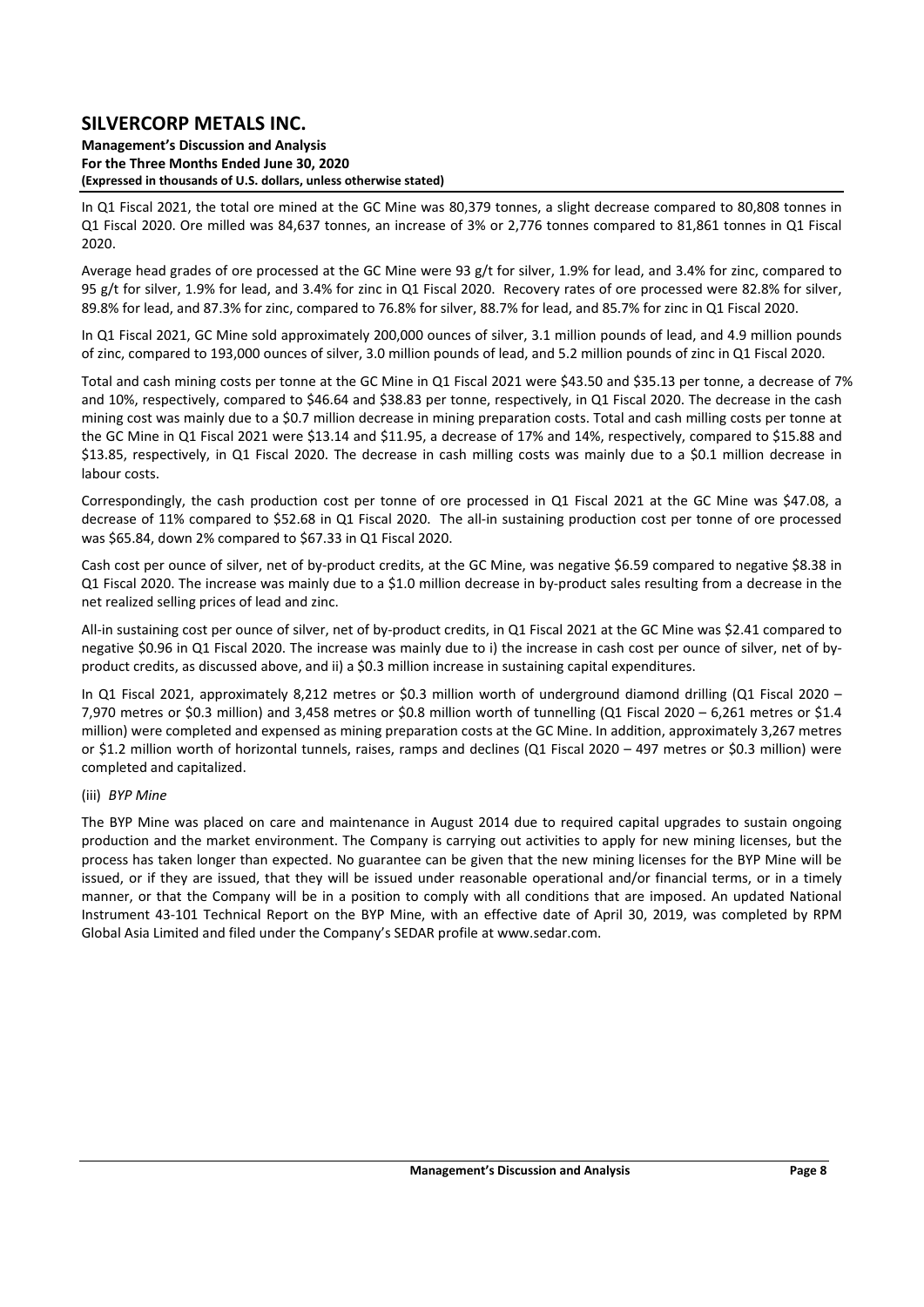**Management's Discussion and Analysis For the Three Months Ended June 30, 2020 (Expressed in thousands of U.S. dollars, unless otherwise stated)** 

In Q1 Fiscal 2021, the total ore mined at the GC Mine was 80,379 tonnes, a slight decrease compared to 80,808 tonnes in Q1 Fiscal 2020. Ore milled was 84,637 tonnes, an increase of 3% or 2,776 tonnes compared to 81,861 tonnes in Q1 Fiscal 2020.

Average head grades of ore processed at the GC Mine were 93 g/t for silver, 1.9% for lead, and 3.4% for zinc, compared to 95 g/t for silver, 1.9% for lead, and 3.4% for zinc in Q1 Fiscal 2020. Recovery rates of ore processed were 82.8% for silver, 89.8% for lead, and 87.3% for zinc, compared to 76.8% for silver, 88.7% for lead, and 85.7% for zinc in Q1 Fiscal 2020.

In Q1 Fiscal 2021, GC Mine sold approximately 200,000 ounces of silver, 3.1 million pounds of lead, and 4.9 million pounds of zinc, compared to 193,000 ounces of silver, 3.0 million pounds of lead, and 5.2 million pounds of zinc in Q1 Fiscal 2020.

Total and cash mining costs per tonne at the GC Mine in Q1 Fiscal 2021 were \$43.50 and \$35.13 per tonne, a decrease of 7% and 10%, respectively, compared to \$46.64 and \$38.83 per tonne, respectively, in Q1 Fiscal 2020. The decrease in the cash mining cost was mainly due to a \$0.7 million decrease in mining preparation costs. Total and cash milling costs per tonne at the GC Mine in Q1 Fiscal 2021 were \$13.14 and \$11.95, a decrease of 17% and 14%, respectively, compared to \$15.88 and \$13.85, respectively, in Q1 Fiscal 2020. The decrease in cash milling costs was mainly due to a \$0.1 million decrease in labour costs.

Correspondingly, the cash production cost per tonne of ore processed in Q1 Fiscal 2021 at the GC Mine was \$47.08, a decrease of 11% compared to \$52.68 in Q1 Fiscal 2020. The all-in sustaining production cost per tonne of ore processed was \$65.84, down 2% compared to \$67.33 in Q1 Fiscal 2020.

Cash cost per ounce of silver, net of by‐product credits, at the GC Mine, was negative \$6.59 compared to negative \$8.38 in Q1 Fiscal 2020. The increase was mainly due to a \$1.0 million decrease in by-product sales resulting from a decrease in the net realized selling prices of lead and zinc.

All-in sustaining cost per ounce of silver, net of by-product credits, in Q1 Fiscal 2021 at the GC Mine was \$2.41 compared to negative \$0.96 in Q1 Fiscal 2020. The increase was mainly due to i) the increase in cash cost per ounce of silver, net of by‐ product credits, as discussed above, and ii) a \$0.3 million increase in sustaining capital expenditures.

In Q1 Fiscal 2021, approximately 8,212 metres or \$0.3 million worth of underground diamond drilling (Q1 Fiscal 2020 -7,970 metres or \$0.3 million) and 3,458 metres or \$0.8 million worth of tunnelling (Q1 Fiscal 2020 – 6,261 metres or \$1.4 million) were completed and expensed as mining preparation costs at the GC Mine. In addition, approximately 3,267 metres or \$1.2 million worth of horizontal tunnels, raises, ramps and declines (Q1 Fiscal 2020 – 497 metres or \$0.3 million) were completed and capitalized.

### (iii) *BYP Mine*

The BYP Mine was placed on care and maintenance in August 2014 due to required capital upgrades to sustain ongoing production and the market environment. The Company is carrying out activities to apply for new mining licenses, but the process has taken longer than expected. No guarantee can be given that the new mining licenses for the BYP Mine will be issued, or if they are issued, that they will be issued under reasonable operational and/or financial terms, or in a timely manner, or that the Company will be in a position to comply with all conditions that are imposed. An updated National Instrument 43‐101 Technical Report on the BYP Mine, with an effective date of April 30, 2019, was completed by RPM Global Asia Limited and filed under the Company's SEDAR profile at www.sedar.com.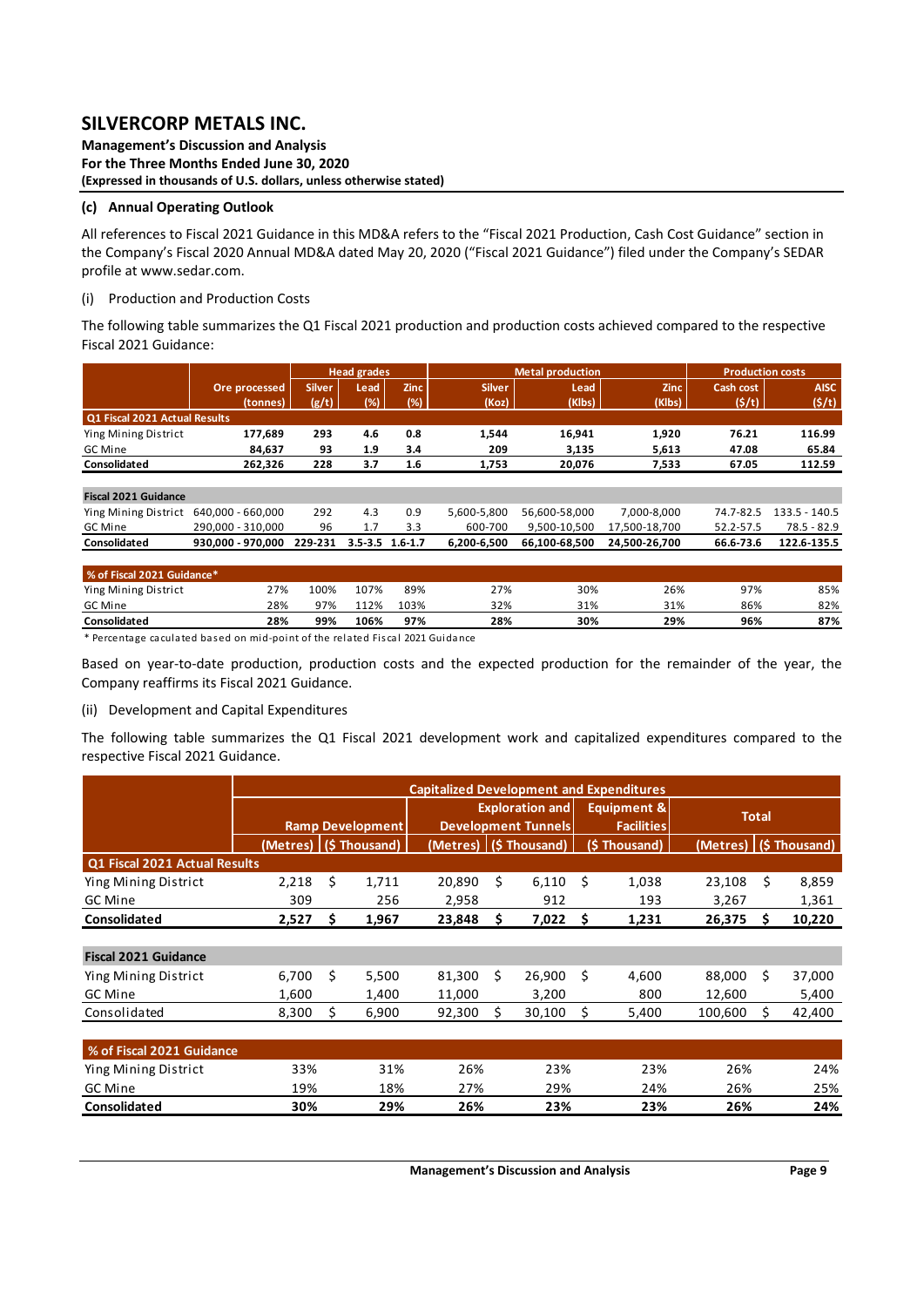**Management's Discussion and Analysis For the Three Months Ended June 30, 2020 (Expressed in thousands of U.S. dollars, unless otherwise stated)** 

### **(c) Annual Operating Outlook**

All references to Fiscal 2021 Guidance in this MD&A refers to the "Fiscal 2021 Production, Cash Cost Guidance" section in the Company's Fiscal 2020 Annual MD&A dated May 20, 2020 ("Fiscal 2021 Guidance") filed under the Company's SEDAR profile at www.sedar.com.

### (i) Production and Production Costs

The following table summarizes the Q1 Fiscal 2021 production and production costs achieved compared to the respective Fiscal 2021 Guidance:

|                               |                   |               | <b>Head grades</b> |                     |               | <b>Metal production</b> |               | <b>Production costs</b> |                 |
|-------------------------------|-------------------|---------------|--------------------|---------------------|---------------|-------------------------|---------------|-------------------------|-----------------|
|                               | Ore processed     | <b>Silver</b> | Lead               | <b>Zinc</b>         | <b>Silver</b> | Lead                    | <b>Zinc</b>   | Cash cost               | <b>AISC</b>     |
|                               | (tonnes)          | (g/t)         | (%)                | (%)                 | (Koz)         | (Klbs)                  | (Klbs)        | (5/t)                   | (5/t)           |
| Q1 Fiscal 2021 Actual Results |                   |               |                    |                     |               |                         |               |                         |                 |
| Ying Mining District          | 177,689           | 293           | 4.6                | 0.8                 | 1,544         | 16,941                  | 1,920         | 76.21                   | 116.99          |
| GC Mine                       | 84.637            | 93            | 1.9                | 3.4                 | 209           | 3,135                   | 5,613         | 47.08                   | 65.84           |
| Consolidated                  | 262.326           | 228           | 3.7                | 1.6                 | 1,753         | 7,533<br>20.076         |               | 67.05                   | 112.59          |
|                               |                   |               |                    |                     |               |                         |               |                         |                 |
| <b>Fiscal 2021 Guidance</b>   |                   |               |                    |                     |               |                         |               |                         |                 |
| Ying Mining District          | 640.000 - 660.000 | 292           | 4.3                | 0.9                 | 5,600-5,800   | 56.600-58.000           | 7.000-8.000   | 74.7-82.5               | $133.5 - 140.5$ |
| GC Mine                       | 290,000 - 310,000 | 96            | 1.7                | 3.3                 | 600-700       | 9,500-10,500            | 17,500-18,700 | 52.2-57.5               | $78.5 - 82.9$   |
| Consolidated                  | 930.000 - 970.000 | 229-231       |                    | $3.5 - 3.5$ 1.6-1.7 | 6,200-6,500   | 66.100-68.500           | 24.500-26.700 | 66.6-73.6               | 122.6-135.5     |

| % of Fiscal 2021 Guidance* |     |      |      |      |     |     |     |     |     |
|----------------------------|-----|------|------|------|-----|-----|-----|-----|-----|
| Ying Mining District       | 27% | 100% | 107% | 89%  | 27% | 30% | 26% | 97% | 85% |
| GC Mine                    | 28% | 97%  | 112% | 103% | 32% | 31% | 31% | 86% | 82% |
| Consolidated               | 28% | 99%  | 106% | 97%  | 28% | 30% | 29% | 96% | 87% |
|                            |     |      |      |      |     |     |     |     |     |

\* Percentage cacula ted ba sed on mid‐point of the rela ted Fi s cal 2021 Guida nce

Based on year-to-date production, production costs and the expected production for the remainder of the year, the Company reaffirms its Fiscal 2021 Guidance.

### (ii) Development and Capital Expenditures

The following table summarizes the Q1 Fiscal 2021 development work and capitalized expenditures compared to the respective Fiscal 2021 Guidance.

|                               |       |                         |                        | <b>Capitalized Development and Expenditures</b> |   |                          |    |                                  |              |    |              |  |
|-------------------------------|-------|-------------------------|------------------------|-------------------------------------------------|---|--------------------------|----|----------------------------------|--------------|----|--------------|--|
|                               |       |                         |                        |                                                 |   | <b>Exploration and</b>   |    | Equipment &<br><b>Facilities</b> | <b>Total</b> |    |              |  |
|                               |       | <b>Ramp Development</b> |                        | <b>Development Tunnels</b>                      |   |                          |    |                                  |              |    |              |  |
|                               |       |                         | (Metres) (\$ Thousand) |                                                 |   | (Metres)   (\$ Thousand) |    | (\$Thousand)                     | (Metres)     |    | (\$Thousand) |  |
| Q1 Fiscal 2021 Actual Results |       |                         |                        |                                                 |   |                          |    |                                  |              |    |              |  |
| Ying Mining District          | 2,218 | \$                      | 1,711                  | 20,890                                          | Ś | 6,110                    | Ś  | 1,038                            | 23,108       | Ś. | 8,859        |  |
| GC Mine                       | 309   |                         | 256                    | 2,958                                           |   | 912                      |    | 193                              | 3,267        |    | 1,361        |  |
| Consolidated                  | 2,527 | \$                      | 1,967                  | 23,848                                          | s | 7,022                    | \$ | 1,231                            | 26,375       | s  | 10,220       |  |
|                               |       |                         |                        |                                                 |   |                          |    |                                  |              |    |              |  |
| <b>Fiscal 2021 Guidance</b>   |       |                         |                        |                                                 |   |                          |    |                                  |              |    |              |  |
| Ying Mining District          | 6,700 | \$                      | 5,500                  | 81,300                                          | Ś | 26,900                   | \$ | 4,600                            | 88,000       | Ś. | 37,000       |  |
| <b>GC Mine</b>                | 1,600 |                         | 1,400                  | 11,000                                          |   | 3,200                    |    | 800                              | 12,600       |    | 5,400        |  |
| Consolidated                  | 8,300 | \$                      | 6,900                  | 92,300                                          | S | 30,100                   | \$ | 5,400                            | 100,600      | S  | 42,400       |  |
|                               |       |                         |                        |                                                 |   |                          |    |                                  |              |    |              |  |
| % of Fiscal 2021 Guidance     |       |                         |                        |                                                 |   |                          |    |                                  |              |    |              |  |
| Ying Mining District          | 33%   |                         | 31%                    | 26%                                             |   | 23%                      |    | 23%                              | 26%          |    | 24%          |  |
| GC Mine                       | 19%   |                         | 18%                    | 27%                                             |   | 29%                      |    | 24%                              | 26%          |    | 25%          |  |
| Consolidated                  | 30%   |                         | 29%                    | 26%                                             |   | 23%                      |    | 23%                              | 26%          |    | 24%          |  |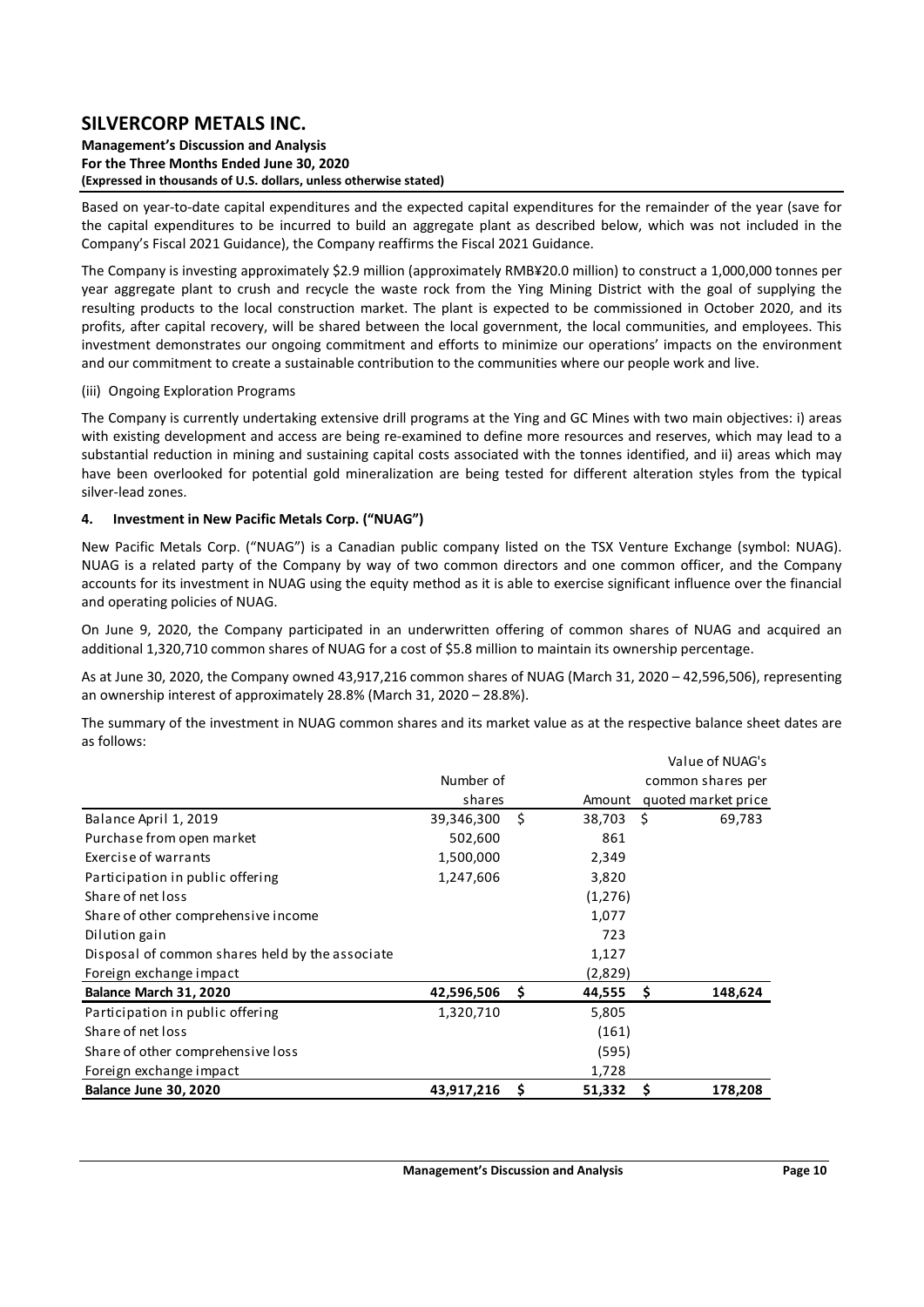#### **Management's Discussion and Analysis For the Three Months Ended June 30, 2020 (Expressed in thousands of U.S. dollars, unless otherwise stated)**

Based on year‐to‐date capital expenditures and the expected capital expenditures for the remainder of the year (save for the capital expenditures to be incurred to build an aggregate plant as described below, which was not included in the Company's Fiscal 2021 Guidance), the Company reaffirms the Fiscal 2021 Guidance.

The Company is investing approximately \$2.9 million (approximately RMB¥20.0 million) to construct a 1,000,000 tonnes per year aggregate plant to crush and recycle the waste rock from the Ying Mining District with the goal of supplying the resulting products to the local construction market. The plant is expected to be commissioned in October 2020, and its profits, after capital recovery, will be shared between the local government, the local communities, and employees. This investment demonstrates our ongoing commitment and efforts to minimize our operations' impacts on the environment and our commitment to create a sustainable contribution to the communities where our people work and live.

### (iii) Ongoing Exploration Programs

The Company is currently undertaking extensive drill programs at the Ying and GC Mines with two main objectives: i) areas with existing development and access are being re-examined to define more resources and reserves, which may lead to a substantial reduction in mining and sustaining capital costs associated with the tonnes identified, and ii) areas which may have been overlooked for potential gold mineralization are being tested for different alteration styles from the typical silver‐lead zones.

### **4. Investment in New Pacific Metals Corp. ("NUAG")**

New Pacific Metals Corp. ("NUAG") is a Canadian public company listed on the TSX Venture Exchange (symbol: NUAG). NUAG is a related party of the Company by way of two common directors and one common officer, and the Company accounts for its investment in NUAG using the equity method as it is able to exercise significant influence over the financial and operating policies of NUAG.

On June 9, 2020, the Company participated in an underwritten offering of common shares of NUAG and acquired an additional 1,320,710 common shares of NUAG for a cost of \$5.8 million to maintain its ownership percentage.

As at June 30, 2020, the Company owned 43,917,216 common shares of NUAG (March 31, 2020 – 42,596,506), representing an ownership interest of approximately 28.8% (March 31, 2020 – 28.8%).

The summary of the investment in NUAG common shares and its market value as at the respective balance sheet dates are as follows:

|                                                 |            |     |         |      | Value of NUAG's     |
|-------------------------------------------------|------------|-----|---------|------|---------------------|
|                                                 | Number of  |     |         |      | common shares per   |
|                                                 | shares     |     | Amount  |      | quoted market price |
| Balance April 1, 2019                           | 39,346,300 | Ŝ.  | 38,703  | - \$ | 69,783              |
| Purchase from open market                       | 502,600    |     | 861     |      |                     |
| Exercise of warrants                            | 1,500,000  |     | 2,349   |      |                     |
| Participation in public offering                | 1,247,606  |     | 3,820   |      |                     |
| Share of net loss                               |            |     | (1,276) |      |                     |
| Share of other comprehensive income             |            |     | 1,077   |      |                     |
| Dilution gain                                   |            |     | 723     |      |                     |
| Disposal of common shares held by the associate |            |     | 1,127   |      |                     |
| Foreign exchange impact                         |            |     | (2,829) |      |                     |
| Balance March 31, 2020                          | 42,596,506 | - S | 44,555  | -S   | 148,624             |
| Participation in public offering                | 1,320,710  |     | 5,805   |      |                     |
| Share of net loss                               |            |     | (161)   |      |                     |
| Share of other comprehensive loss               |            |     | (595)   |      |                     |
| Foreign exchange impact                         |            |     | 1,728   |      |                     |
| Balance June 30, 2020                           | 43,917,216 | S   | 51,332  |      | 178,208             |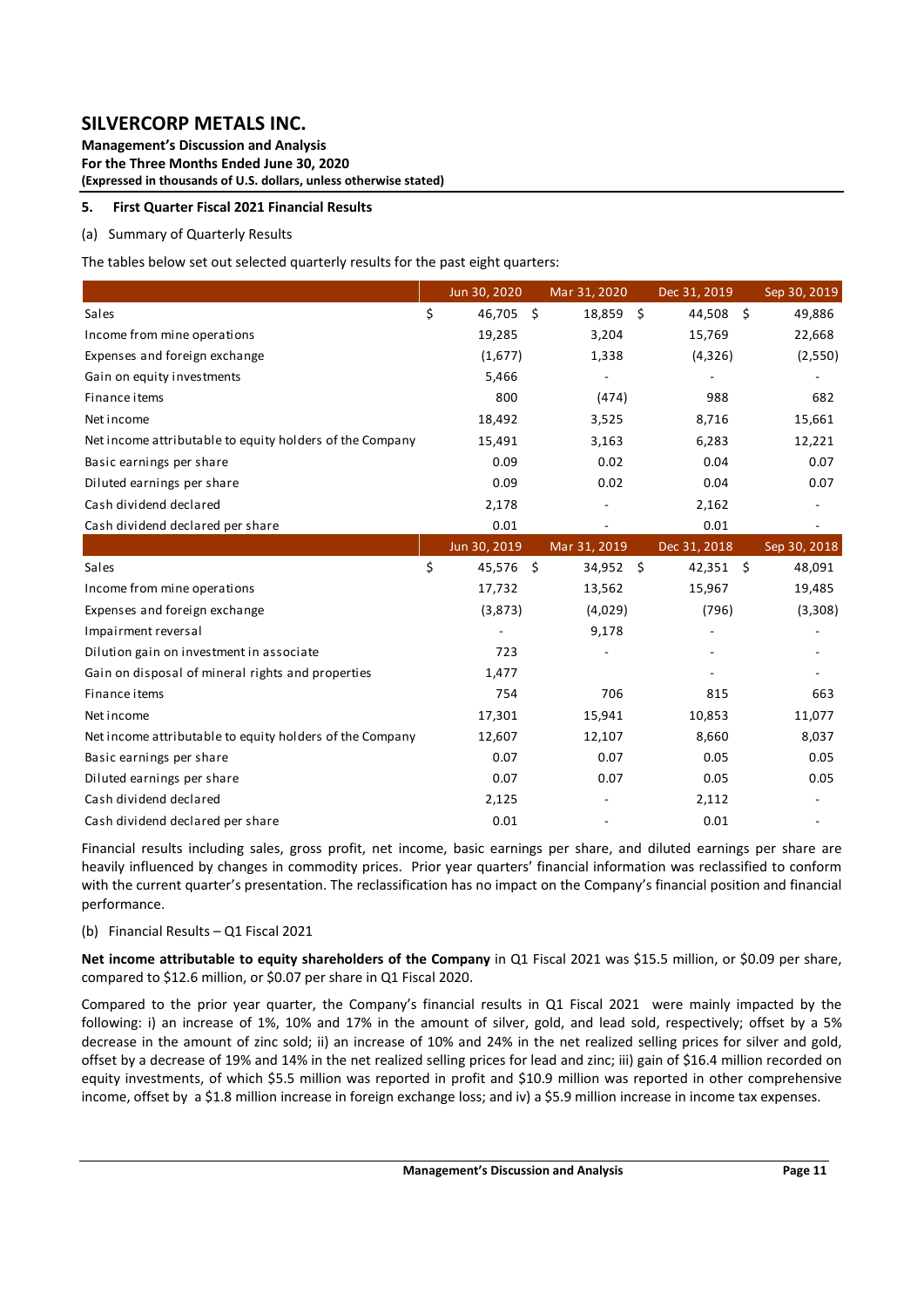**Management's Discussion and Analysis For the Three Months Ended June 30, 2020 (Expressed in thousands of U.S. dollars, unless otherwise stated)** 

### **5. First Quarter Fiscal 2021 Financial Results**

### (a) Summary of Quarterly Results

The tables below set out selected quarterly results for the past eight quarters:

|                                                          | Jun 30, 2020    | Mar 31, 2020 | Dec 31, 2019 | Sep 30, 2019 |
|----------------------------------------------------------|-----------------|--------------|--------------|--------------|
| Sales                                                    | \$<br>46,705 \$ | 18,859 \$    | 44,508       | \$<br>49,886 |
| Income from mine operations                              | 19,285          | 3,204        | 15,769       | 22,668       |
| Expenses and foreign exchange                            | (1,677)         | 1,338        | (4,326)      | (2,550)      |
| Gain on equity investments                               | 5,466           |              |              |              |
| Finance items                                            | 800             | (474)        | 988          | 682          |
| Net income                                               | 18,492          | 3,525        | 8,716        | 15,661       |
| Net income attributable to equity holders of the Company | 15,491          | 3,163        | 6,283        | 12,221       |
| Basic earnings per share                                 | 0.09            | 0.02         | 0.04         | 0.07         |
| Diluted earnings per share                               | 0.09            | 0.02         | 0.04         | 0.07         |
| Cash dividend declared                                   | 2,178           |              | 2,162        |              |
| Cash dividend declared per share                         | 0.01            |              | 0.01         |              |
|                                                          | Jun 30, 2019    | Mar 31, 2019 | Dec 31, 2018 | Sep 30, 2018 |
| Sales                                                    | \$<br>45,576 \$ | $34,952$ \$  | $42,351$ \$  | 48,091       |
| Income from mine operations                              | 17,732          | 13,562       | 15,967       | 19,485       |
| Expenses and foreign exchange                            | (3,873)         | (4,029)      | (796)        | (3,308)      |
| Impairment reversal                                      |                 | 9,178        |              |              |
| Dilution gain on investment in associate                 | 723             |              |              |              |
| Gain on disposal of mineral rights and properties        | 1,477           |              |              |              |
| Finance items                                            | 754             | 706          | 815          | 663          |
| Net income                                               | 17,301          | 15,941       | 10,853       | 11,077       |
| Net income attributable to equity holders of the Company | 12,607          | 12,107       | 8,660        | 8,037        |
| Basic earnings per share                                 | 0.07            | 0.07         | 0.05         | 0.05         |
| Diluted earnings per share                               | 0.07            | 0.07         | 0.05         | 0.05         |
| Cash dividend declared                                   | 2,125           |              | 2,112        |              |
| Cash dividend declared per share                         | 0.01            |              | 0.01         |              |

Financial results including sales, gross profit, net income, basic earnings per share, and diluted earnings per share are heavily influenced by changes in commodity prices. Prior year quarters' financial information was reclassified to conform with the current quarter's presentation. The reclassification has no impact on the Company's financial position and financial performance.

#### (b) Financial Results – Q1 Fiscal 2021

**Net income attributable to equity shareholders of the Company** in Q1 Fiscal 2021 was \$15.5 million, or \$0.09 per share, compared to \$12.6 million, or \$0.07 per share in Q1 Fiscal 2020.

Compared to the prior year quarter, the Company's financial results in Q1 Fiscal 2021 were mainly impacted by the following: i) an increase of 1%, 10% and 17% in the amount of silver, gold, and lead sold, respectively; offset by a 5% decrease in the amount of zinc sold; ii) an increase of 10% and 24% in the net realized selling prices for silver and gold, offset by a decrease of 19% and 14% in the net realized selling prices for lead and zinc; iii) gain of \$16.4 million recorded on equity investments, of which \$5.5 million was reported in profit and \$10.9 million was reported in other comprehensive income, offset by a \$1.8 million increase in foreign exchange loss; and iv) a \$5.9 million increase in income tax expenses.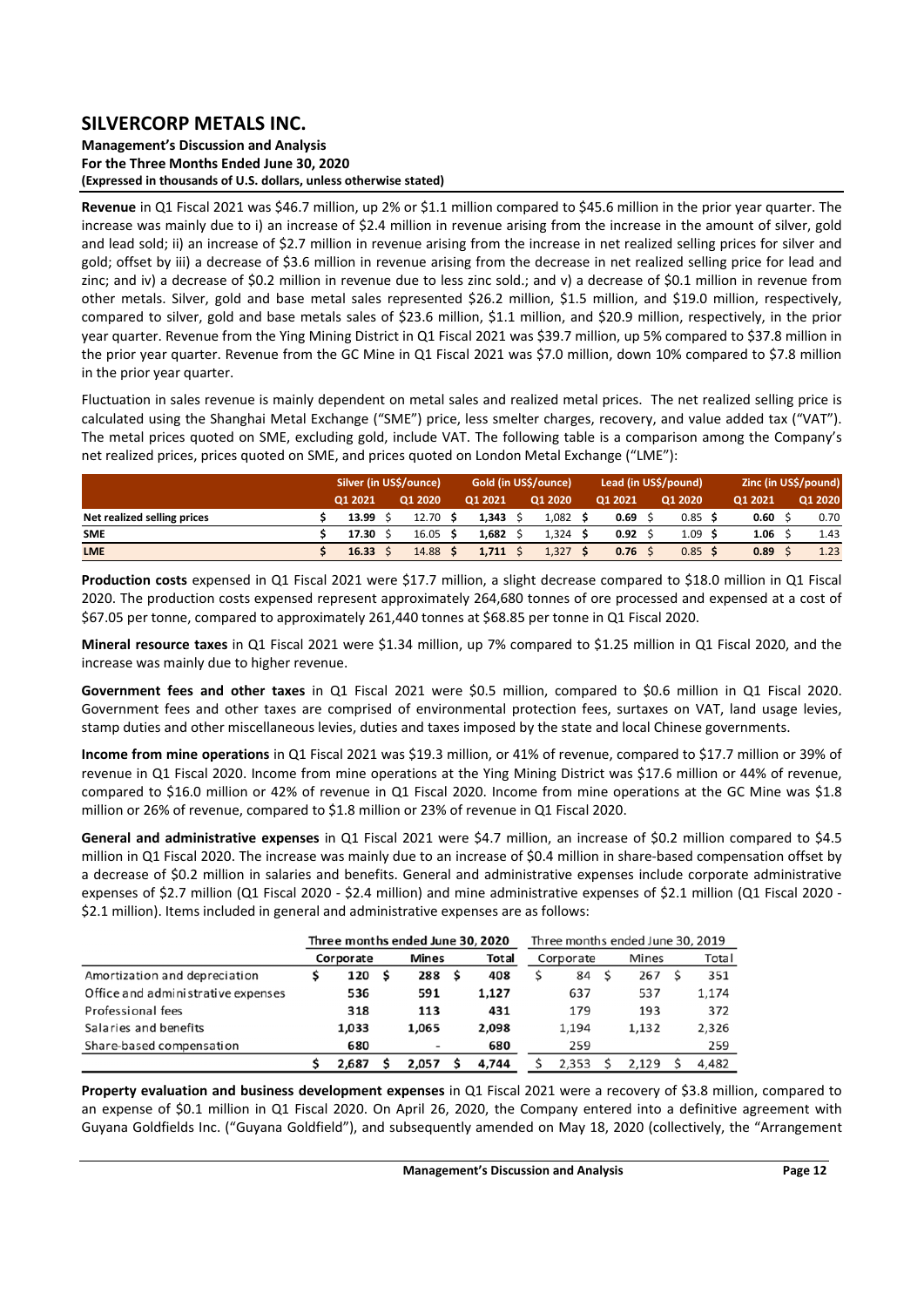**Management's Discussion and Analysis For the Three Months Ended June 30, 2020 (Expressed in thousands of U.S. dollars, unless otherwise stated)** 

**Revenue** in Q1 Fiscal 2021 was \$46.7 million, up 2% or \$1.1 million compared to \$45.6 million in the prior year quarter. The increase was mainly due to i) an increase of \$2.4 million in revenue arising from the increase in the amount of silver, gold and lead sold; ii) an increase of \$2.7 million in revenue arising from the increase in net realized selling prices for silver and gold; offset by iii) a decrease of \$3.6 million in revenue arising from the decrease in net realized selling price for lead and zinc; and iv) a decrease of \$0.2 million in revenue due to less zinc sold.; and v) a decrease of \$0.1 million in revenue from other metals. Silver, gold and base metal sales represented \$26.2 million, \$1.5 million, and \$19.0 million, respectively, compared to silver, gold and base metals sales of \$23.6 million, \$1.1 million, and \$20.9 million, respectively, in the prior year quarter. Revenue from the Ying Mining District in Q1 Fiscal 2021 was \$39.7 million, up 5% compared to \$37.8 million in the prior year quarter. Revenue from the GC Mine in Q1 Fiscal 2021 was \$7.0 million, down 10% compared to \$7.8 million in the prior year quarter.

Fluctuation in sales revenue is mainly dependent on metal sales and realized metal prices. The net realized selling price is calculated using the Shanghai Metal Exchange ("SME") price, less smelter charges, recovery, and value added tax ("VAT"). The metal prices quoted on SME, excluding gold, include VAT. The following table is a comparison among the Company's net realized prices, prices quoted on SME, and prices quoted on London Metal Exchange ("LME"):

|                             | Silver (in US\$/ounce) |  |          |         | Gold (in US\$/ounce) |         | Lead (in US\$/pound) | Zinc (in US\$/pound) |         |         |  |         |
|-----------------------------|------------------------|--|----------|---------|----------------------|---------|----------------------|----------------------|---------|---------|--|---------|
|                             | 01 2021                |  | Q1 2020  | 01 2021 |                      | Q1 2020 | Q1 2021              |                      | Q1 2020 | Q1 2021 |  | Q1 2020 |
| Net realized selling prices | 13.99                  |  | 12.70    | 1.343   |                      | 1,082   | 0.69                 |                      | 0.85    | 0.60    |  | 0.70    |
| <b>SME</b>                  | 17.30                  |  | 16.05 S  | 1.682   |                      | 1,324   | 0.92                 |                      | 1.09    | 1.06    |  | 1.43    |
| <b>LME</b>                  | 16.33                  |  | 14.88 \$ | 1.711   |                      | 1,327   | 0.76                 |                      | 0.85    | 0.89    |  | 1.23    |

**Production costs** expensed in Q1 Fiscal 2021 were \$17.7 million, a slight decrease compared to \$18.0 million in Q1 Fiscal 2020. The production costs expensed represent approximately 264,680 tonnes of ore processed and expensed at a cost of \$67.05 per tonne, compared to approximately 261,440 tonnes at \$68.85 per tonne in Q1 Fiscal 2020.

**Mineral resource taxes** in Q1 Fiscal 2021 were \$1.34 million, up 7% compared to \$1.25 million in Q1 Fiscal 2020, and the increase was mainly due to higher revenue.

Government fees and other taxes in Q1 Fiscal 2021 were \$0.5 million, compared to \$0.6 million in Q1 Fiscal 2020. Government fees and other taxes are comprised of environmental protection fees, surtaxes on VAT, land usage levies, stamp duties and other miscellaneous levies, duties and taxes imposed by the state and local Chinese governments.

**Income from mine operations** in Q1 Fiscal 2021 was \$19.3 million, or 41% of revenue, compared to \$17.7 million or 39% of revenue in Q1 Fiscal 2020. Income from mine operations at the Ying Mining District was \$17.6 million or 44% of revenue, compared to \$16.0 million or 42% of revenue in Q1 Fiscal 2020. Income from mine operations at the GC Mine was \$1.8 million or 26% of revenue, compared to \$1.8 million or 23% of revenue in Q1 Fiscal 2020.

**General and administrative expenses** in Q1 Fiscal 2021 were \$4.7 million, an increase of \$0.2 million compared to \$4.5 million in Q1 Fiscal 2020. The increase was mainly due to an increase of \$0.4 million in share‐based compensation offset by a decrease of \$0.2 million in salaries and benefits. General and administrative expenses include corporate administrative expenses of \$2.7 million (Q1 Fiscal 2020 - \$2.4 million) and mine administrative expenses of \$2.1 million (Q1 Fiscal 2020 -\$2.1 million). Items included in general and administrative expenses are as follows:

|                                    |           |       |     | Three months ended June 30, 2020 |     |       | Three months ended June 30, 2019 |           |  |       |     |       |  |  |
|------------------------------------|-----------|-------|-----|----------------------------------|-----|-------|----------------------------------|-----------|--|-------|-----|-------|--|--|
|                                    | Corporate |       |     | <b>Mines</b>                     |     | Total |                                  | Corporate |  | Mines |     | Total |  |  |
| Amortization and depreciation      |           | 120   | - S | 288                              | - S | 408   |                                  | 84        |  | 267   |     | 351   |  |  |
| Office and administrative expenses |           | 536   |     | 591                              |     | 1.127 |                                  | 637       |  | 537   |     | 1.174 |  |  |
| Professional fees                  |           | 318   |     | 113                              |     | 431   |                                  | 179       |  | 193   |     | 372   |  |  |
| Salaries and benefits              |           | 1.033 |     | 1.065                            |     | 2.098 |                                  | 1,194     |  | 1,132 |     | 2,326 |  |  |
| Share-based compensation           | 680       |       | ٠   |                                  | 680 |       | 259                              |           |  |       | 259 |       |  |  |
|                                    |           | 2,687 |     | 2.057                            |     | 4.744 |                                  | 2.353     |  | 2.129 |     | 4,482 |  |  |

**Property evaluation and business development expenses** in Q1 Fiscal 2021 were a recovery of \$3.8 million, compared to an expense of \$0.1 million in Q1 Fiscal 2020. On April 26, 2020, the Company entered into a definitive agreement with Guyana Goldfields Inc. ("Guyana Goldfield"), and subsequently amended on May 18, 2020 (collectively, the "Arrangement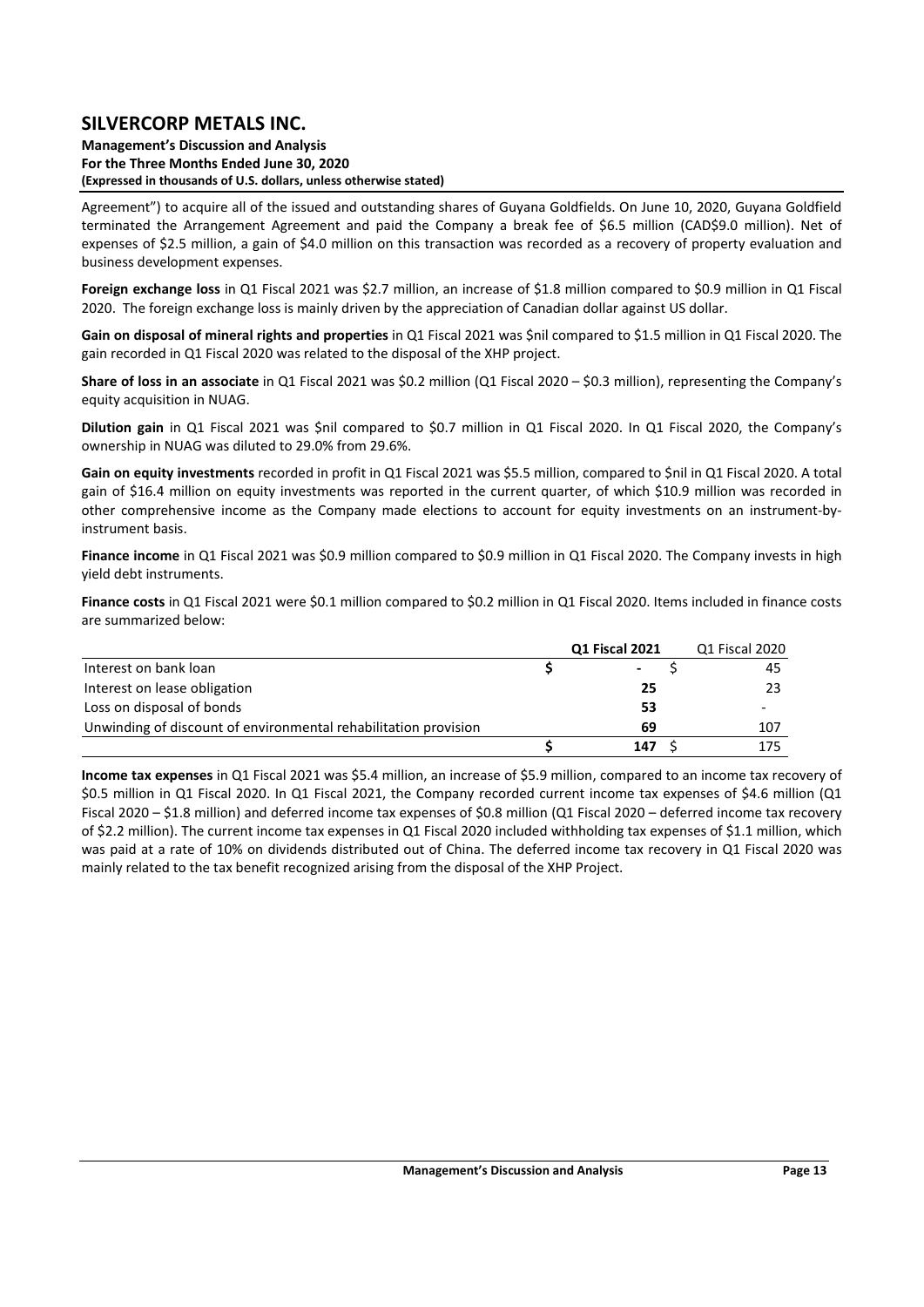**Management's Discussion and Analysis For the Three Months Ended June 30, 2020 (Expressed in thousands of U.S. dollars, unless otherwise stated)** 

Agreement") to acquire all of the issued and outstanding shares of Guyana Goldfields. On June 10, 2020, Guyana Goldfield terminated the Arrangement Agreement and paid the Company a break fee of \$6.5 million (CAD\$9.0 million). Net of expenses of \$2.5 million, a gain of \$4.0 million on this transaction was recorded as a recovery of property evaluation and business development expenses.

**Foreign exchange loss** in Q1 Fiscal 2021 was \$2.7 million, an increase of \$1.8 million compared to \$0.9 million in Q1 Fiscal 2020. The foreign exchange loss is mainly driven by the appreciation of Canadian dollar against US dollar.

**Gain on disposal of mineral rights and properties** in Q1 Fiscal 2021 was \$nil compared to \$1.5 million in Q1 Fiscal 2020. The gain recorded in Q1 Fiscal 2020 was related to the disposal of the XHP project.

**Share of loss in an associate** in Q1 Fiscal 2021 was \$0.2 million (Q1 Fiscal 2020 – \$0.3 million), representing the Company's equity acquisition in NUAG.

**Dilution gain** in Q1 Fiscal 2021 was Snil compared to \$0.7 million in Q1 Fiscal 2020. In Q1 Fiscal 2020, the Company's ownership in NUAG was diluted to 29.0% from 29.6%.

**Gain on equity investments** recorded in profit in Q1 Fiscal 2021 was \$5.5 million, compared to \$nil in Q1 Fiscal 2020. A total gain of \$16.4 million on equity investments was reported in the current quarter, of which \$10.9 million was recorded in other comprehensive income as the Company made elections to account for equity investments on an instrument‐by‐ instrument basis.

**Finance income** in Q1 Fiscal 2021 was \$0.9 million compared to \$0.9 million in Q1 Fiscal 2020. The Company invests in high yield debt instruments.

**Finance costs** in Q1 Fiscal 2021 were \$0.1 million compared to \$0.2 million in Q1 Fiscal 2020. Items included in finance costs are summarized below:

|                                                                 | <b>Q1 Fiscal 2021</b> | Q1 Fiscal 2020 |
|-----------------------------------------------------------------|-----------------------|----------------|
| Interest on bank loan                                           |                       | 45             |
| Interest on lease obligation                                    | 25                    |                |
| Loss on disposal of bonds                                       | 53                    |                |
| Unwinding of discount of environmental rehabilitation provision | 69                    | 107            |
|                                                                 | 147                   | 175            |

**Income tax expenses** in Q1 Fiscal 2021 was \$5.4 million, an increase of \$5.9 million, compared to an income tax recovery of \$0.5 million in Q1 Fiscal 2020. In Q1 Fiscal 2021, the Company recorded current income tax expenses of \$4.6 million (Q1 Fiscal 2020 – \$1.8 million) and deferred income tax expenses of \$0.8 million (Q1 Fiscal 2020 – deferred income tax recovery of \$2.2 million). The current income tax expenses in Q1 Fiscal 2020 included withholding tax expenses of \$1.1 million, which was paid at a rate of 10% on dividends distributed out of China. The deferred income tax recovery in Q1 Fiscal 2020 was mainly related to the tax benefit recognized arising from the disposal of the XHP Project.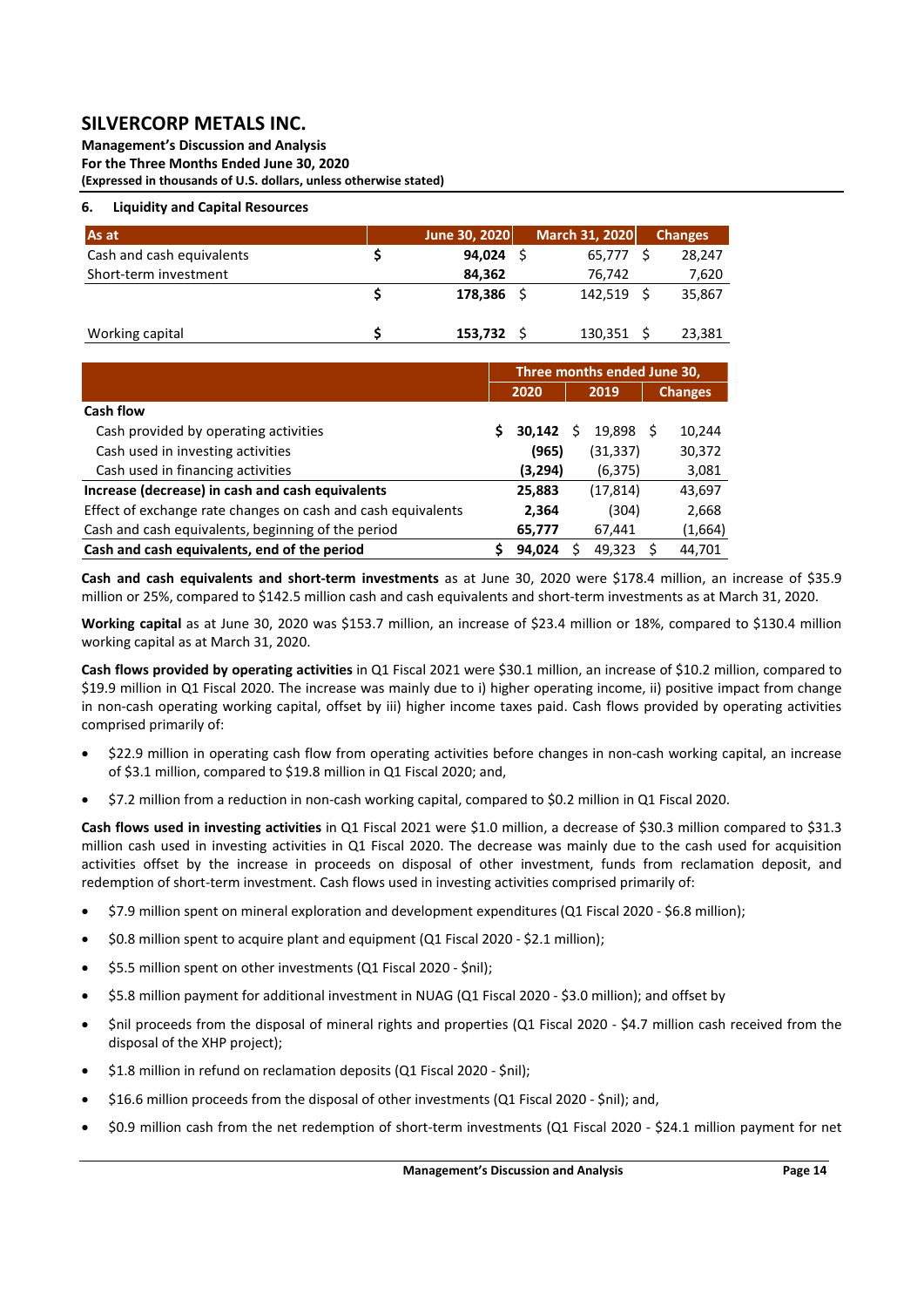**Management's Discussion and Analysis For the Three Months Ended June 30, 2020 (Expressed in thousands of U.S. dollars, unless otherwise stated)** 

### **6. Liquidity and Capital Resources**

| As at                     | June 30, 2020 | March 31, 2020 | <b>Changes</b> |
|---------------------------|---------------|----------------|----------------|
| Cash and cash equivalents | 94.024        | 65.777         | 28.247         |
| Short-term investment     | 84,362        | 76,742         | 7,620          |
|                           | 178.386       | 142.519        | 35,867         |
| Working capital           | 153,732       | 130,351        | 23.381         |

|                                                              | Three months ended June 30, |                         |  |           |                |         |  |
|--------------------------------------------------------------|-----------------------------|-------------------------|--|-----------|----------------|---------|--|
|                                                              |                             | 2020                    |  | 2019      | <b>Changes</b> |         |  |
| Cash flow                                                    |                             |                         |  |           |                |         |  |
| Cash provided by operating activities                        |                             | $30,142 \quad \text{S}$ |  | 19,898 \$ |                | 10,244  |  |
| Cash used in investing activities                            |                             | (965)                   |  | (31, 337) |                | 30,372  |  |
| Cash used in financing activities                            |                             | (3,294)                 |  | (6,375)   |                | 3,081   |  |
| Increase (decrease) in cash and cash equivalents             |                             | 25,883                  |  | (17, 814) |                | 43,697  |  |
| Effect of exchange rate changes on cash and cash equivalents |                             | 2,364                   |  | (304)     |                | 2,668   |  |
| Cash and cash equivalents, beginning of the period           |                             | 65,777                  |  | 67,441    |                | (1,664) |  |
| Cash and cash equivalents, end of the period                 |                             | 94,024                  |  | 49,323    |                | 44,701  |  |

Cash and cash equivalents and short-term investments as at June 30, 2020 were \$178.4 million, an increase of \$35.9 million or 25%, compared to \$142.5 million cash and cash equivalents and short‐term investments as at March 31, 2020.

**Working capital** as at June 30, 2020 was \$153.7 million, an increase of \$23.4 million or 18%, compared to \$130.4 million working capital as at March 31, 2020.

**Cash flows provided by operating activities** in Q1 Fiscal 2021 were \$30.1 million, an increase of \$10.2 million, compared to \$19.9 million in Q1 Fiscal 2020. The increase was mainly due to i) higher operating income, ii) positive impact from change in non‐cash operating working capital, offset by iii) higher income taxes paid. Cash flows provided by operating activities comprised primarily of:

- \$22.9 million in operating cash flow from operating activities before changes in non-cash working capital, an increase of \$3.1 million, compared to \$19.8 million in Q1 Fiscal 2020; and,
- \$7.2 million from a reduction in non‐cash working capital, compared to \$0.2 million in Q1 Fiscal 2020.

**Cash flows used in investing activities** in Q1 Fiscal 2021 were \$1.0 million, a decrease of \$30.3 million compared to \$31.3 million cash used in investing activities in Q1 Fiscal 2020. The decrease was mainly due to the cash used for acquisition activities offset by the increase in proceeds on disposal of other investment, funds from reclamation deposit, and redemption of short-term investment. Cash flows used in investing activities comprised primarily of:

- \$7.9 million spent on mineral exploration and development expenditures (Q1 Fiscal 2020 \$6.8 million);
- \$0.8 million spent to acquire plant and equipment (Q1 Fiscal 2020 ‐ \$2.1 million);
- \$5.5 million spent on other investments (Q1 Fiscal 2020 ‐ \$nil);
- \$5.8 million payment for additional investment in NUAG (Q1 Fiscal 2020 \$3.0 million); and offset by
- \$nil proceeds from the disposal of mineral rights and properties (Q1 Fiscal 2020 ‐ \$4.7 million cash received from the disposal of the XHP project);
- \$1.8 million in refund on reclamation deposits (Q1 Fiscal 2020 ‐ \$nil);
- \$16.6 million proceeds from the disposal of other investments (Q1 Fiscal 2020 \$nil); and,
- \$0.9 million cash from the net redemption of short-term investments (Q1 Fiscal 2020 \$24.1 million payment for net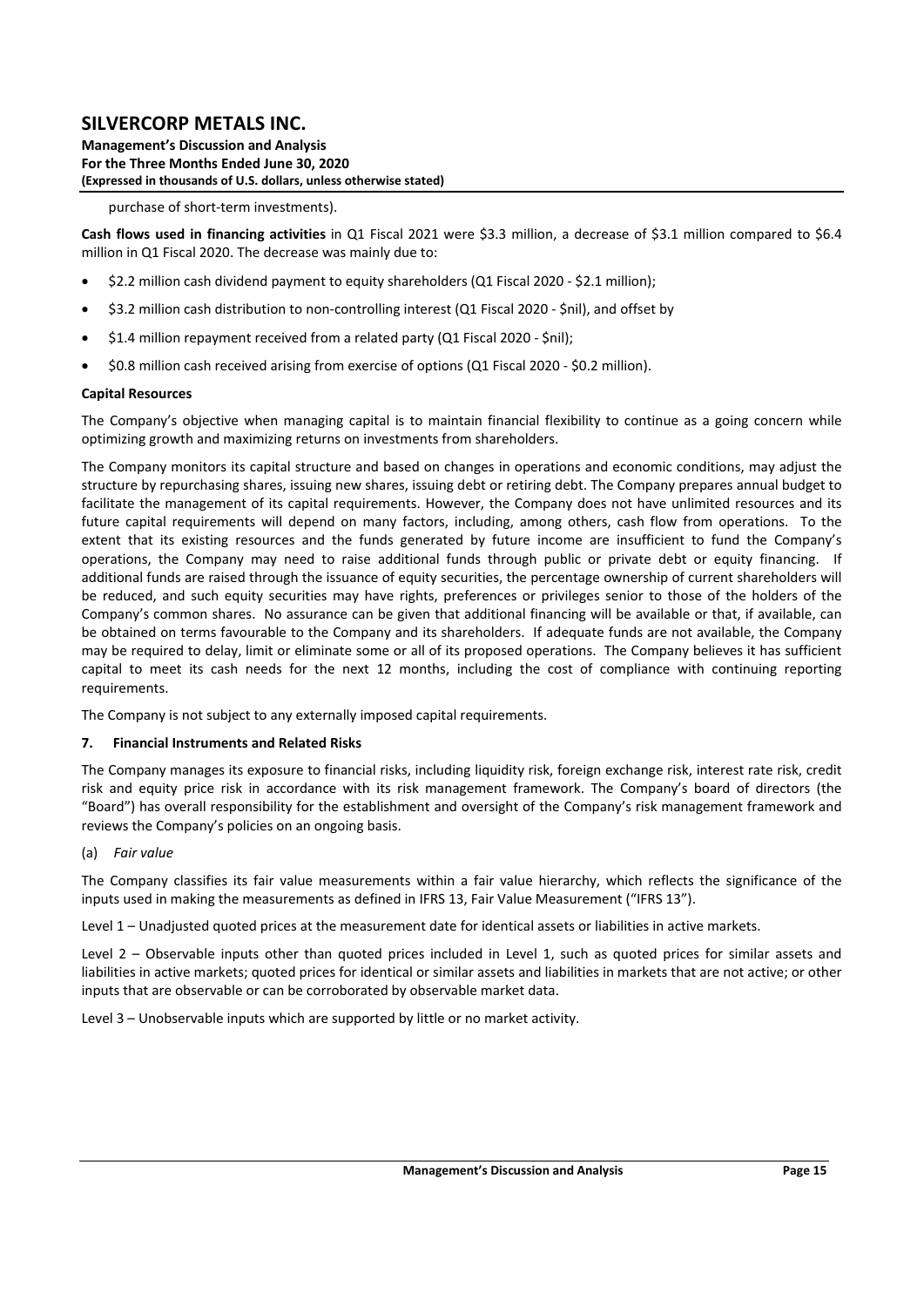**Management's Discussion and Analysis For the Three Months Ended June 30, 2020 (Expressed in thousands of U.S. dollars, unless otherwise stated)** 

#### purchase of short‐term investments).

**Cash flows used in financing activities** in Q1 Fiscal 2021 were \$3.3 million, a decrease of \$3.1 million compared to \$6.4 million in Q1 Fiscal 2020. The decrease was mainly due to:

- \$2.2 million cash dividend payment to equity shareholders (Q1 Fiscal 2020 ‐ \$2.1 million);
- \$3.2 million cash distribution to non-controlling interest (Q1 Fiscal 2020 \$nil), and offset by
- \$1.4 million repayment received from a related party (Q1 Fiscal 2020 \$nil);
- \$0.8 million cash received arising from exercise of options (Q1 Fiscal 2020 ‐ \$0.2 million).

#### **Capital Resources**

The Company's objective when managing capital is to maintain financial flexibility to continue as a going concern while optimizing growth and maximizing returns on investments from shareholders.

The Company monitors its capital structure and based on changes in operations and economic conditions, may adjust the structure by repurchasing shares, issuing new shares, issuing debt or retiring debt. The Company prepares annual budget to facilitate the management of its capital requirements. However, the Company does not have unlimited resources and its future capital requirements will depend on many factors, including, among others, cash flow from operations. To the extent that its existing resources and the funds generated by future income are insufficient to fund the Company's operations, the Company may need to raise additional funds through public or private debt or equity financing. If additional funds are raised through the issuance of equity securities, the percentage ownership of current shareholders will be reduced, and such equity securities may have rights, preferences or privileges senior to those of the holders of the Company's common shares. No assurance can be given that additional financing will be available or that, if available, can be obtained on terms favourable to the Company and its shareholders. If adequate funds are not available, the Company may be required to delay, limit or eliminate some or all of its proposed operations. The Company believes it has sufficient capital to meet its cash needs for the next 12 months, including the cost of compliance with continuing reporting requirements.

The Company is not subject to any externally imposed capital requirements.

#### **7. Financial Instruments and Related Risks**

The Company manages its exposure to financial risks, including liquidity risk, foreign exchange risk, interest rate risk, credit risk and equity price risk in accordance with its risk management framework. The Company's board of directors (the "Board") has overall responsibility for the establishment and oversight of the Company's risk management framework and reviews the Company's policies on an ongoing basis.

#### (a) *Fair value*

The Company classifies its fair value measurements within a fair value hierarchy, which reflects the significance of the inputs used in making the measurements as defined in IFRS 13, Fair Value Measurement ("IFRS 13").

Level 1 – Unadjusted quoted prices at the measurement date for identical assets or liabilities in active markets.

Level 2 – Observable inputs other than quoted prices included in Level 1, such as quoted prices for similar assets and liabilities in active markets; quoted prices for identical or similar assets and liabilities in markets that are not active; or other inputs that are observable or can be corroborated by observable market data.

Level 3 – Unobservable inputs which are supported by little or no market activity.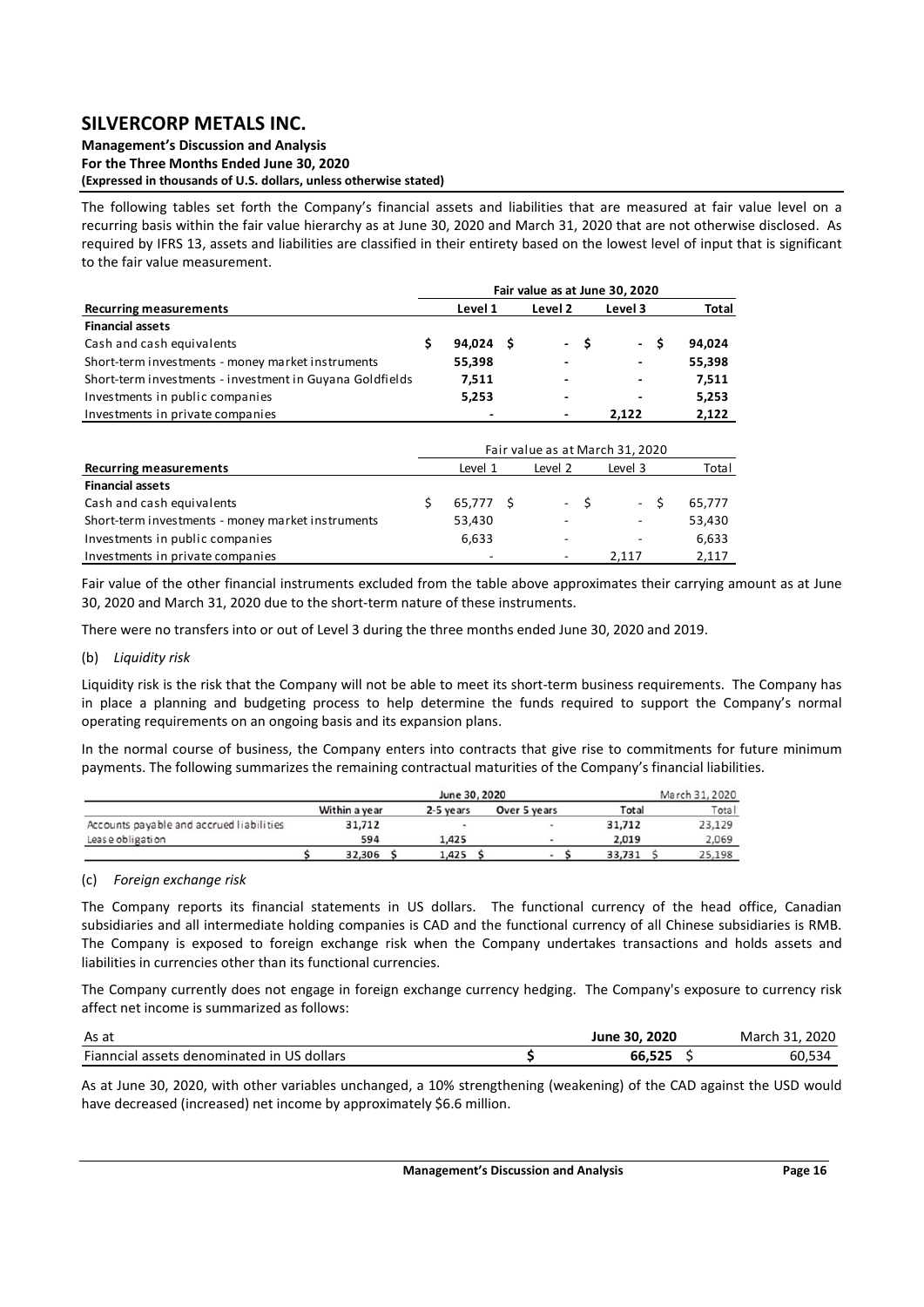**Management's Discussion and Analysis For the Three Months Ended June 30, 2020 (Expressed in thousands of U.S. dollars, unless otherwise stated)** 

The following tables set forth the Company's financial assets and liabilities that are measured at fair value level on a recurring basis within the fair value hierarchy as at June 30, 2020 and March 31, 2020 that are not otherwise disclosed. As required by IFRS 13, assets and liabilities are classified in their entirety based on the lowest level of input that is significant to the fair value measurement.

|                                                          | Fair value as at June 30, 2020 |             |  |         |     |                                 |        |  |
|----------------------------------------------------------|--------------------------------|-------------|--|---------|-----|---------------------------------|--------|--|
| <b>Recurring measurements</b>                            |                                | Level 1     |  | Level 2 |     | Level 3                         | Total  |  |
| <b>Financial assets</b>                                  |                                |             |  |         |     |                                 |        |  |
| Cash and cash equivalents                                | \$                             | $94,024$ \$ |  | $\sim$  | \$. | - \$                            | 94,024 |  |
| Short-term investments - money market instruments        |                                | 55,398      |  |         |     | ٠                               | 55,398 |  |
| Short-term investments - investment in Guyana Goldfields |                                | 7,511       |  |         |     |                                 | 7,511  |  |
| Investments in public companies                          |                                | 5,253       |  | -       |     |                                 | 5,253  |  |
| Investments in private companies                         |                                |             |  |         |     | 2,122                           | 2,122  |  |
|                                                          |                                |             |  |         |     |                                 |        |  |
|                                                          |                                |             |  |         |     | Fair value as at March 31, 2020 |        |  |
| <b>Recurring measurements</b>                            |                                | Level 1     |  | Level 2 |     | Level 3                         | Total  |  |
| <b>Financial assets</b>                                  |                                |             |  |         |     |                                 |        |  |
| Cash and cash equivalents                                | \$                             | 65,777 \$   |  | $\sim$  | -\$ | - \$                            | 65,777 |  |
| Short-term investments - money market instruments        |                                | 53,430      |  |         |     | $\overline{\phantom{a}}$        | 53,430 |  |
| Investments in public companies                          |                                | 6,633       |  |         |     |                                 | 6,633  |  |
| Investments in private companies                         |                                |             |  |         |     | 2.117                           | 2,117  |  |

Fair value of the other financial instruments excluded from the table above approximates their carrying amount as at June 30, 2020 and March 31, 2020 due to the short‐term nature of these instruments.

There were no transfers into or out of Level 3 during the three months ended June 30, 2020 and 2019.

### (b) *Liquidity risk*

Liquidity risk is the risk that the Company will not be able to meet its short‐term business requirements. The Company has in place a planning and budgeting process to help determine the funds required to support the Company's normal operating requirements on an ongoing basis and its expansion plans.

In the normal course of business, the Company enters into contracts that give rise to commitments for future minimum payments. The following summarizes the remaining contractual maturities of the Company's financial liabilities.

|                                          |               |           | June 30, 2020 |        | March 31, 2020 |
|------------------------------------------|---------------|-----------|---------------|--------|----------------|
|                                          | Within a year | 2-5 years | Over 5 years  | Total  | Total          |
| Accounts payable and accrued liabilities | 31,712        |           |               | 31.712 | 23,129         |
| Lease obligation                         | 594           | 1,425     |               | 2.019  | 2,069          |
|                                          | 32,306        | 1,425     |               | 33,731 | 25,198         |

#### (c) *Foreign exchange risk*

The Company reports its financial statements in US dollars. The functional currency of the head office, Canadian subsidiaries and all intermediate holding companies is CAD and the functional currency of all Chinese subsidiaries is RMB. The Company is exposed to foreign exchange risk when the Company undertakes transactions and holds assets and liabilities in currencies other than its functional currencies.

The Company currently does not engage in foreign exchange currency hedging. The Company's exposure to currency risk affect net income is summarized as follows:

| As at                                      | June 30, 2020 | 2020<br>March 31. |
|--------------------------------------------|---------------|-------------------|
| Fianncial assets denominated in US dollars | 66.525        | 60.534            |

As at June 30, 2020, with other variables unchanged, a 10% strengthening (weakening) of the CAD against the USD would have decreased (increased) net income by approximately \$6.6 million.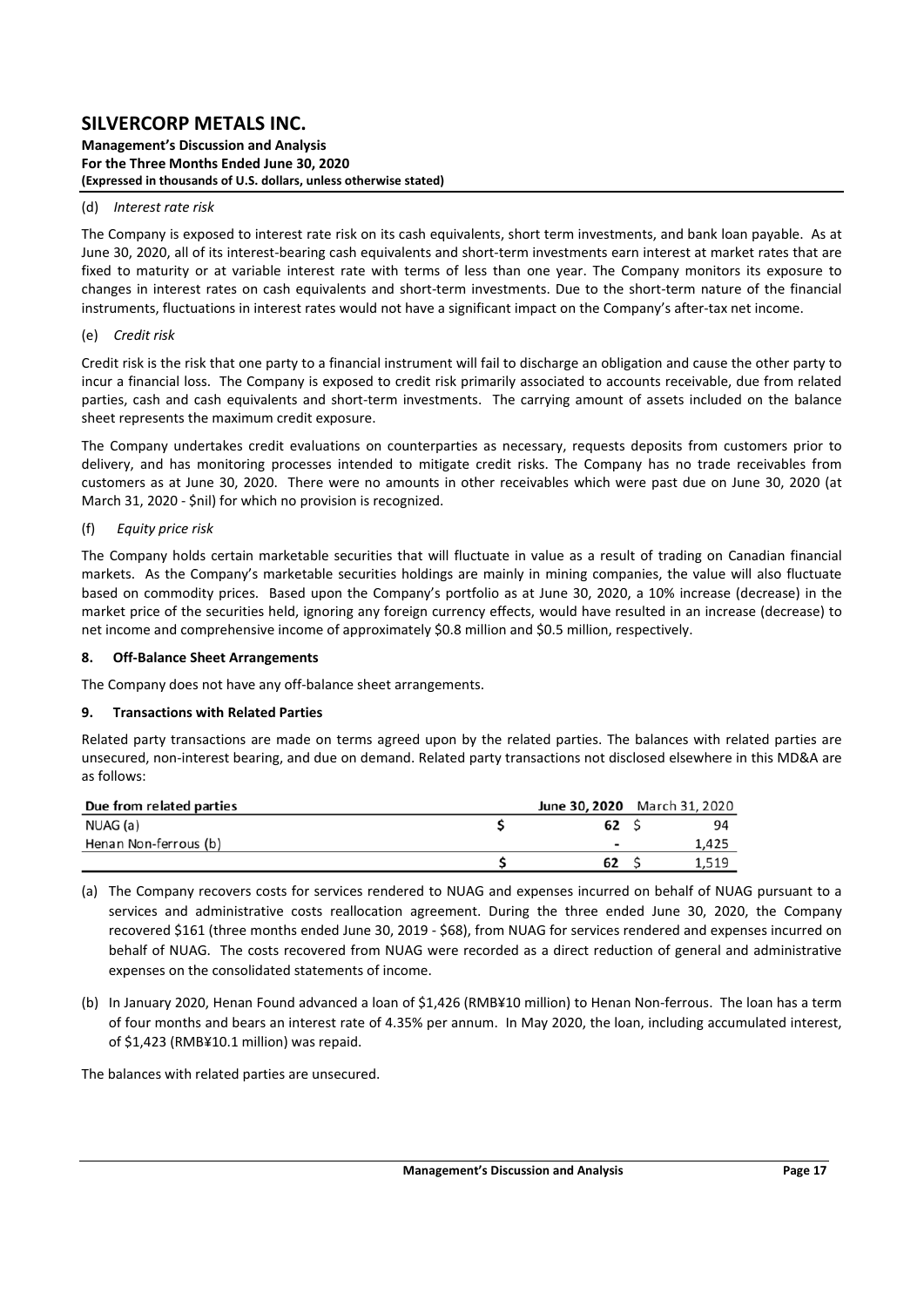**Management's Discussion and Analysis For the Three Months Ended June 30, 2020 (Expressed in thousands of U.S. dollars, unless otherwise stated)** 

#### (d) *Interest rate risk*

The Company is exposed to interest rate risk on its cash equivalents, short term investments, and bank loan payable. As at June 30, 2020, all of its interest-bearing cash equivalents and short-term investments earn interest at market rates that are fixed to maturity or at variable interest rate with terms of less than one year. The Company monitors its exposure to changes in interest rates on cash equivalents and short‐term investments. Due to the short‐term nature of the financial instruments, fluctuations in interest rates would not have a significant impact on the Company's after-tax net income.

#### (e) *Credit risk*

Credit risk is the risk that one party to a financial instrument will fail to discharge an obligation and cause the other party to incur a financial loss. The Company is exposed to credit risk primarily associated to accounts receivable, due from related parties, cash and cash equivalents and short-term investments. The carrying amount of assets included on the balance sheet represents the maximum credit exposure.

The Company undertakes credit evaluations on counterparties as necessary, requests deposits from customers prior to delivery, and has monitoring processes intended to mitigate credit risks. The Company has no trade receivables from customers as at June 30, 2020. There were no amounts in other receivables which were past due on June 30, 2020 (at March 31, 2020 ‐ \$nil) for which no provision is recognized.

#### (f)  *Equity price risk*

The Company holds certain marketable securities that will fluctuate in value as a result of trading on Canadian financial markets. As the Company's marketable securities holdings are mainly in mining companies, the value will also fluctuate based on commodity prices. Based upon the Company's portfolio as at June 30, 2020, a 10% increase (decrease) in the market price of the securities held, ignoring any foreign currency effects, would have resulted in an increase (decrease) to net income and comprehensive income of approximately \$0.8 million and \$0.5 million, respectively.

#### **8. Off‐Balance Sheet Arrangements**

The Company does not have any off‐balance sheet arrangements.

#### **9. Transactions with Related Parties**

Related party transactions are made on terms agreed upon by the related parties. The balances with related parties are unsecured, non-interest bearing, and due on demand. Related party transactions not disclosed elsewhere in this MD&A are as follows:

| Due from related parties | June 30, 2020 March 31, 2020 |       |
|--------------------------|------------------------------|-------|
| NUAG (a)                 | 62                           | 94    |
| Henan Non-ferrous (b)    | $\overline{\phantom{0}}$     | 1,425 |
|                          | 62                           | 1,519 |

- (a) The Company recovers costs for services rendered to NUAG and expenses incurred on behalf of NUAG pursuant to a services and administrative costs reallocation agreement. During the three ended June 30, 2020, the Company recovered \$161 (three months ended June 30, 2019 ‐ \$68), from NUAG for services rendered and expenses incurred on behalf of NUAG. The costs recovered from NUAG were recorded as a direct reduction of general and administrative expenses on the consolidated statements of income.
- (b) In January 2020, Henan Found advanced a loan of \$1,426 (RMB¥10 million) to Henan Non‐ferrous. The loan has a term of four months and bears an interest rate of 4.35% per annum. In May 2020, the loan, including accumulated interest, of \$1,423 (RMB¥10.1 million) was repaid.

The balances with related parties are unsecured.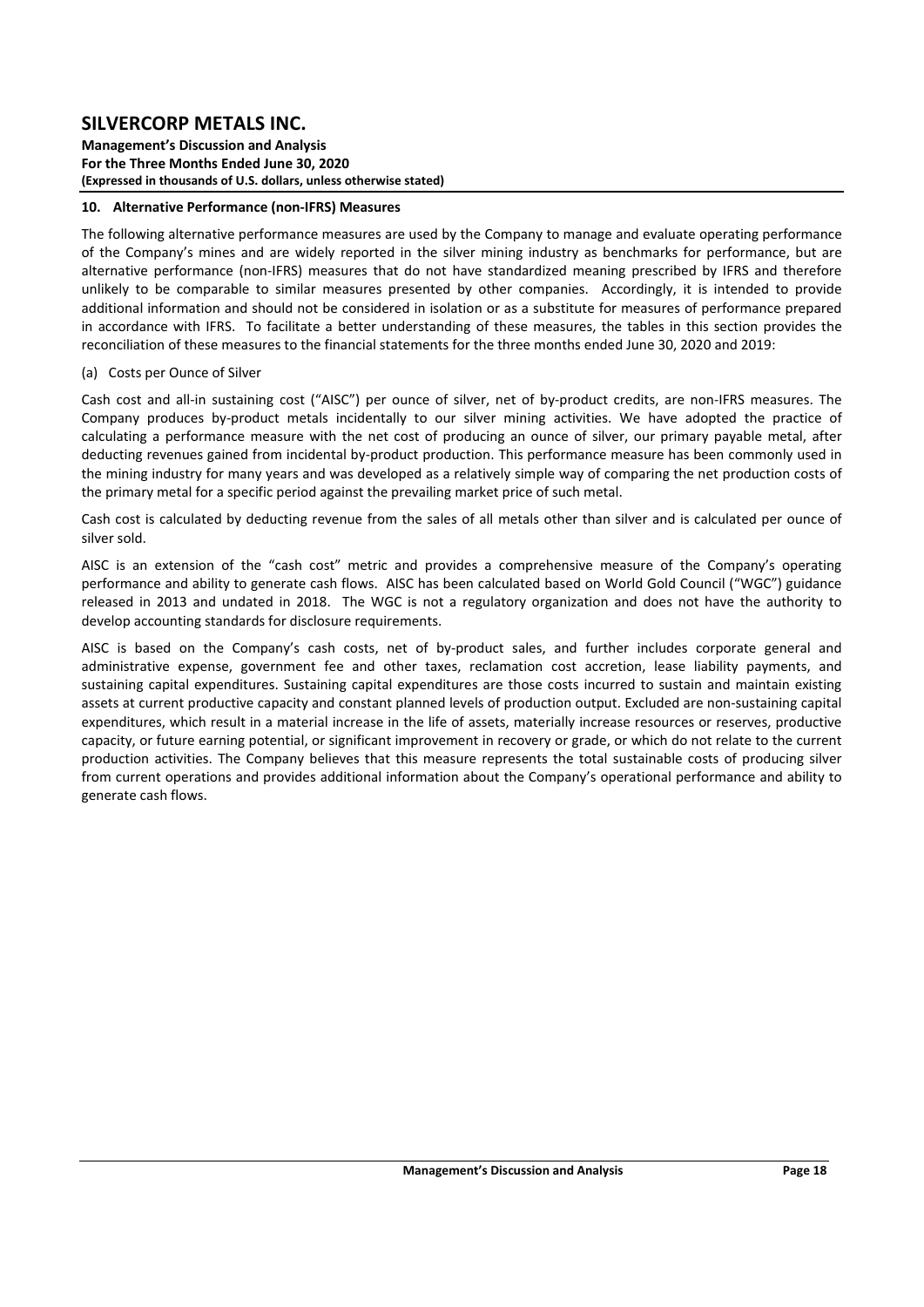**Management's Discussion and Analysis For the Three Months Ended June 30, 2020 (Expressed in thousands of U.S. dollars, unless otherwise stated)** 

#### **10. Alternative Performance (non‐IFRS) Measures**

The following alternative performance measures are used by the Company to manage and evaluate operating performance of the Company's mines and are widely reported in the silver mining industry as benchmarks for performance, but are alternative performance (non‐IFRS) measures that do not have standardized meaning prescribed by IFRS and therefore unlikely to be comparable to similar measures presented by other companies. Accordingly, it is intended to provide additional information and should not be considered in isolation or as a substitute for measures of performance prepared in accordance with IFRS. To facilitate a better understanding of these measures, the tables in this section provides the reconciliation of these measures to the financial statements for the three months ended June 30, 2020 and 2019:

#### (a) Costs per Ounce of Silver

Cash cost and all-in sustaining cost ("AISC") per ounce of silver, net of by-product credits, are non-IFRS measures. The Company produces by‐product metals incidentally to our silver mining activities. We have adopted the practice of calculating a performance measure with the net cost of producing an ounce of silver, our primary payable metal, after deducting revenues gained from incidental by‐product production. This performance measure has been commonly used in the mining industry for many years and was developed as a relatively simple way of comparing the net production costs of the primary metal for a specific period against the prevailing market price of such metal.

Cash cost is calculated by deducting revenue from the sales of all metals other than silver and is calculated per ounce of silver sold.

AISC is an extension of the "cash cost" metric and provides a comprehensive measure of the Company's operating performance and ability to generate cash flows. AISC has been calculated based on World Gold Council ("WGC") guidance released in 2013 and undated in 2018. The WGC is not a regulatory organization and does not have the authority to develop accounting standards for disclosure requirements.

AISC is based on the Company's cash costs, net of by‐product sales, and further includes corporate general and administrative expense, government fee and other taxes, reclamation cost accretion, lease liability payments, and sustaining capital expenditures. Sustaining capital expenditures are those costs incurred to sustain and maintain existing assets at current productive capacity and constant planned levels of production output. Excluded are non‐sustaining capital expenditures, which result in a material increase in the life of assets, materially increase resources or reserves, productive capacity, or future earning potential, or significant improvement in recovery or grade, or which do not relate to the current production activities. The Company believes that this measure represents the total sustainable costs of producing silver from current operations and provides additional information about the Company's operational performance and ability to generate cash flows.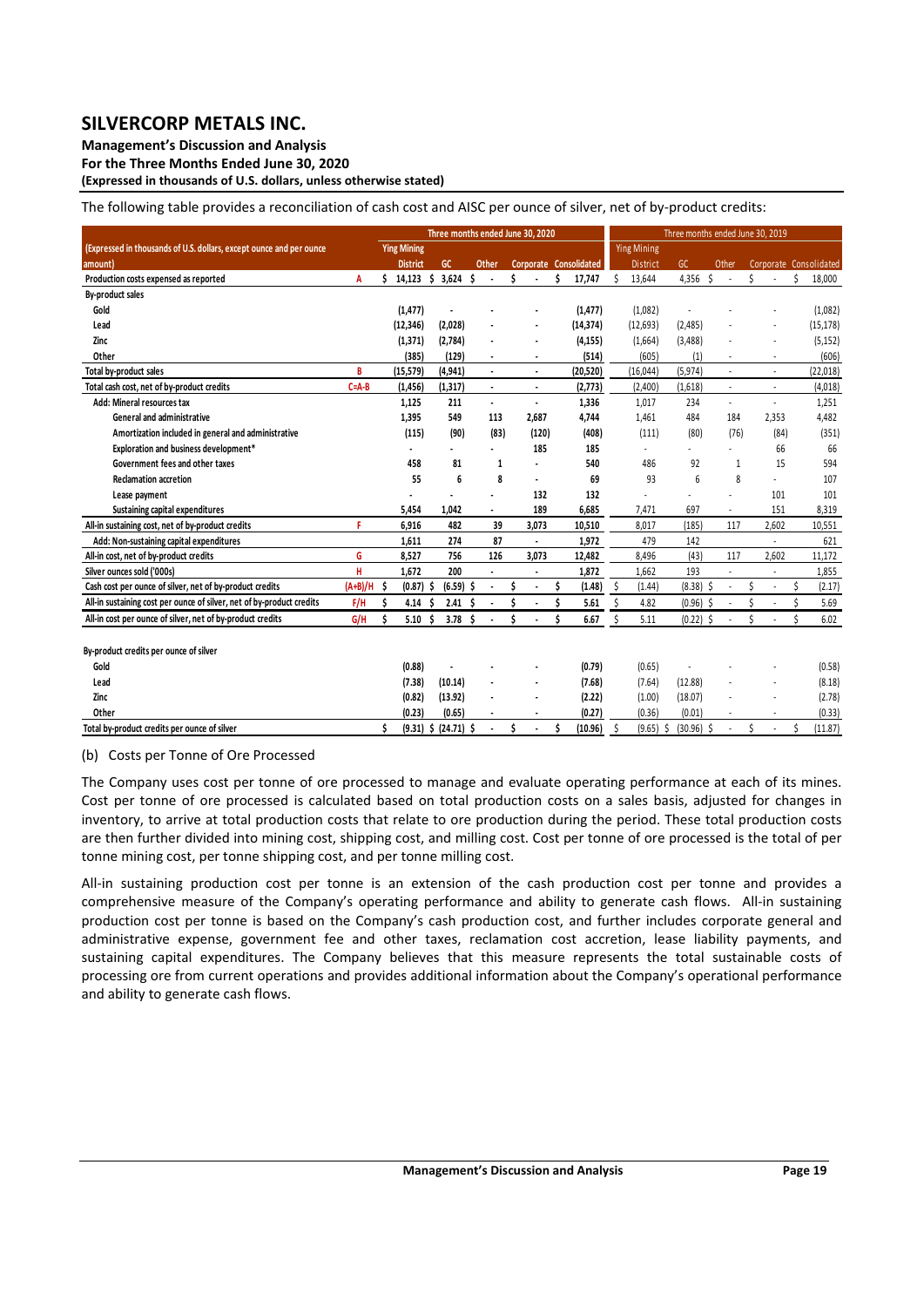**Management's Discussion and Analysis** 

**For the Three Months Ended June 30, 2020** 

**(Expressed in thousands of U.S. dollars, unless otherwise stated)** 

The following table provides a reconciliation of cash cost and AISC per ounce of silver, net of by-product credits:

|                                                                       |             |   |                    |   |             |   |                          |   | Three months ended June 30, 2020 |   |                        |    |                    | Three months ended June 30, 2019 |                          |    |                |                        |
|-----------------------------------------------------------------------|-------------|---|--------------------|---|-------------|---|--------------------------|---|----------------------------------|---|------------------------|----|--------------------|----------------------------------|--------------------------|----|----------------|------------------------|
| (Expressed in thousands of U.S. dollars, except ounce and per ounce   |             |   | <b>Ying Mining</b> |   |             |   |                          |   |                                  |   |                        |    | <b>Ying Mining</b> |                                  |                          |    |                |                        |
| amount)                                                               |             |   | <b>District</b>    |   | GC          |   | Other                    |   |                                  |   | Corporate Consolidated |    | <b>District</b>    | GC                               | Other                    |    |                | Corporate Consolidated |
| Production costs expensed as reported                                 | A           |   | $14,123$ \$        |   | 3,624       | Ŝ |                          | Ś |                                  | Ś | 17,747                 | \$ | 13,644             | 4,356 \$                         | $\overline{\phantom{a}}$ | Ś  |                | \$<br>18,000           |
| By-product sales                                                      |             |   |                    |   |             |   |                          |   |                                  |   |                        |    |                    |                                  |                          |    |                |                        |
| Gold                                                                  |             |   | (1, 477)           |   |             |   |                          |   |                                  |   | (1, 477)               |    | (1,082)            |                                  |                          |    |                | (1,082)                |
| Lead                                                                  |             |   | (12, 346)          |   | (2,028)     |   |                          |   |                                  |   | (14, 374)              |    | (12,693)           | (2,485)                          |                          |    |                | (15, 178)              |
| Zinc                                                                  |             |   | (1, 371)           |   | (2,784)     |   |                          |   |                                  |   | (4, 155)               |    | (1,664)            | (3,488)                          |                          |    |                | (5, 152)               |
| Other                                                                 |             |   | (385)              |   | (129)       |   | $\blacksquare$           |   | ٠                                |   | (514)                  |    | (605)              | (1)                              | ٠                        |    | $\blacksquare$ | (606)                  |
| Total by-product sales                                                | B           |   | (15, 579)          |   | (4, 941)    |   | $\blacksquare$           |   | ٠                                |   | (20, 520)              |    | (16, 044)          | (5, 974)                         | ä,                       |    | $\sim$         | (22, 018)              |
| Total cash cost, net of by-product credits                            | $C = A - B$ |   | (1, 456)           |   | (1, 317)    |   | $\blacksquare$           |   | $\blacksquare$                   |   | (2,773)                |    | (2,400)            | (1,618)                          | $\sim$                   |    | $\sim$         | (4,018)                |
| Add: Mineral resources tax                                            |             |   | 1,125              |   | 211         |   | $\overline{\phantom{a}}$ |   | $\blacksquare$                   |   | 1,336                  |    | 1,017              | 234                              | ä,                       |    | $\sim$         | 1,251                  |
| General and administrative                                            |             |   | 1,395              |   | 549         |   | 113                      |   | 2.687                            |   | 4,744                  |    | 1,461              | 484                              | 184                      |    | 2,353          | 4,482                  |
| Amortization included in general and administrative                   |             |   | (115)              |   | (90)        |   | (83)                     |   | (120)                            |   | (408)                  |    | (111)              | (80)                             | (76)                     |    | (84)           | (351)                  |
| Exploration and business development*                                 |             |   |                    |   |             |   |                          |   | 185                              |   | 185                    |    |                    |                                  |                          |    | 66             | 66                     |
| Government fees and other taxes                                       |             |   | 458                |   | 81          |   | 1                        |   |                                  |   | 540                    |    | 486                | 92                               | 1                        |    | 15             | 594                    |
| <b>Reclamation accretion</b>                                          |             |   | 55                 |   | 6           |   | 8                        |   | ٠                                |   | 69                     |    | 93                 | 6                                | 8                        |    |                | 107                    |
| Lease payment                                                         |             |   |                    |   |             |   |                          |   | 132                              |   | 132                    |    |                    |                                  | ×                        |    | 101            | 101                    |
| Sustaining capital expenditures                                       |             |   | 5,454              |   | 1.042       |   | $\mathbf{r}$             |   | 189                              |   | 6,685                  |    | 7,471              | 697                              | ×                        |    | 151            | 8,319                  |
| All-in sustaining cost, net of by-product credits                     | F           |   | 6.916              |   | 482         |   | 39                       |   | 3.073                            |   | 10,510                 |    | 8.017              | (185)                            | 117                      |    | 2.602          | 10,551                 |
| Add: Non-sustaining capital expenditures                              |             |   | 1,611              |   | 274         |   | 87                       |   | ٠                                |   | 1,972                  |    | 479                | 142                              |                          |    |                | 621                    |
| All-in cost, net of by-product credits                                | G           |   | 8,527              |   | 756         |   | 126                      |   | 3,073                            |   | 12,482                 |    | 8,496              | (43)                             | 117                      |    | 2,602          | 11,172                 |
| Silver ounces sold ('000s)                                            | H           |   | 1.672              |   | 200         |   |                          |   |                                  |   | 1,872                  |    | 1.662              | 193                              |                          |    |                | 1,855                  |
| Cash cost per ounce of silver, net of by-product credits              | $(A+B)/H$   | Ŝ | (0.87)             | Ŝ | $(6.59)$ \$ |   |                          |   |                                  |   | (1.48)                 | \$ | (1.44)             | $(8.38)$ \$                      |                          | \$ | ٠              | (2.17)                 |
| All-in sustaining cost per ounce of silver, net of by-product credits | F/H         | Ś | 4.14               | S | 2.41        |   |                          |   |                                  | Ś | 5.61                   | Ś  | 4.82               | $(0.96)$ \$                      |                          |    |                | 5.69                   |
| All-in cost per ounce of silver, net of by-product credits            | G/H         |   | 5.10               | Ŝ | 3.78        | Ŝ |                          | Ś |                                  | Ś | 6.67                   | Ś  | 5.11               | $(0.22)$ \$                      |                          | \$ |                | 6.02                   |
| By-product credits per ounce of silver                                |             |   |                    |   |             |   |                          |   |                                  |   |                        |    |                    |                                  |                          |    |                |                        |
| Gold                                                                  |             |   | (0.88)             |   |             |   |                          |   |                                  |   | (0.79)                 |    | (0.65)             |                                  |                          |    |                | (0.58)                 |
| Lead                                                                  |             |   | (7.38)             |   | (10.14)     |   |                          |   |                                  |   | (7.68)                 |    | (7.64)             | (12.88)                          |                          |    |                | (8.18)                 |

(b) Costs per Tonne of Ore Processed

The Company uses cost per tonne of ore processed to manage and evaluate operating performance at each of its mines. Cost per tonne of ore processed is calculated based on total production costs on a sales basis, adjusted for changes in inventory, to arrive at total production costs that relate to ore production during the period. These total production costs are then further divided into mining cost, shipping cost, and milling cost. Cost per tonne of ore processed is the total of per tonne mining cost, per tonne shipping cost, and per tonne milling cost.

**Zinc (13.92) (0.82) ‐ ‐ (2.22)**  (18.07) (1.00) ‐ ‐ (2.78) **Other (0.65) (0.23) ‐ ‐ (0.27)**  (0.01) (0.36) ‐ ‐ (0.33) Total by-product credits per ounce of silver the content of the content of the content of the content of the content of the content of the content of the content of the content of the content of the content of the content

All-in sustaining production cost per tonne is an extension of the cash production cost per tonne and provides a comprehensive measure of the Company's operating performance and ability to generate cash flows. All-in sustaining production cost per tonne is based on the Company's cash production cost, and further includes corporate general and administrative expense, government fee and other taxes, reclamation cost accretion, lease liability payments, and sustaining capital expenditures. The Company believes that this measure represents the total sustainable costs of processing ore from current operations and provides additional information about the Company's operational performance and ability to generate cash flows.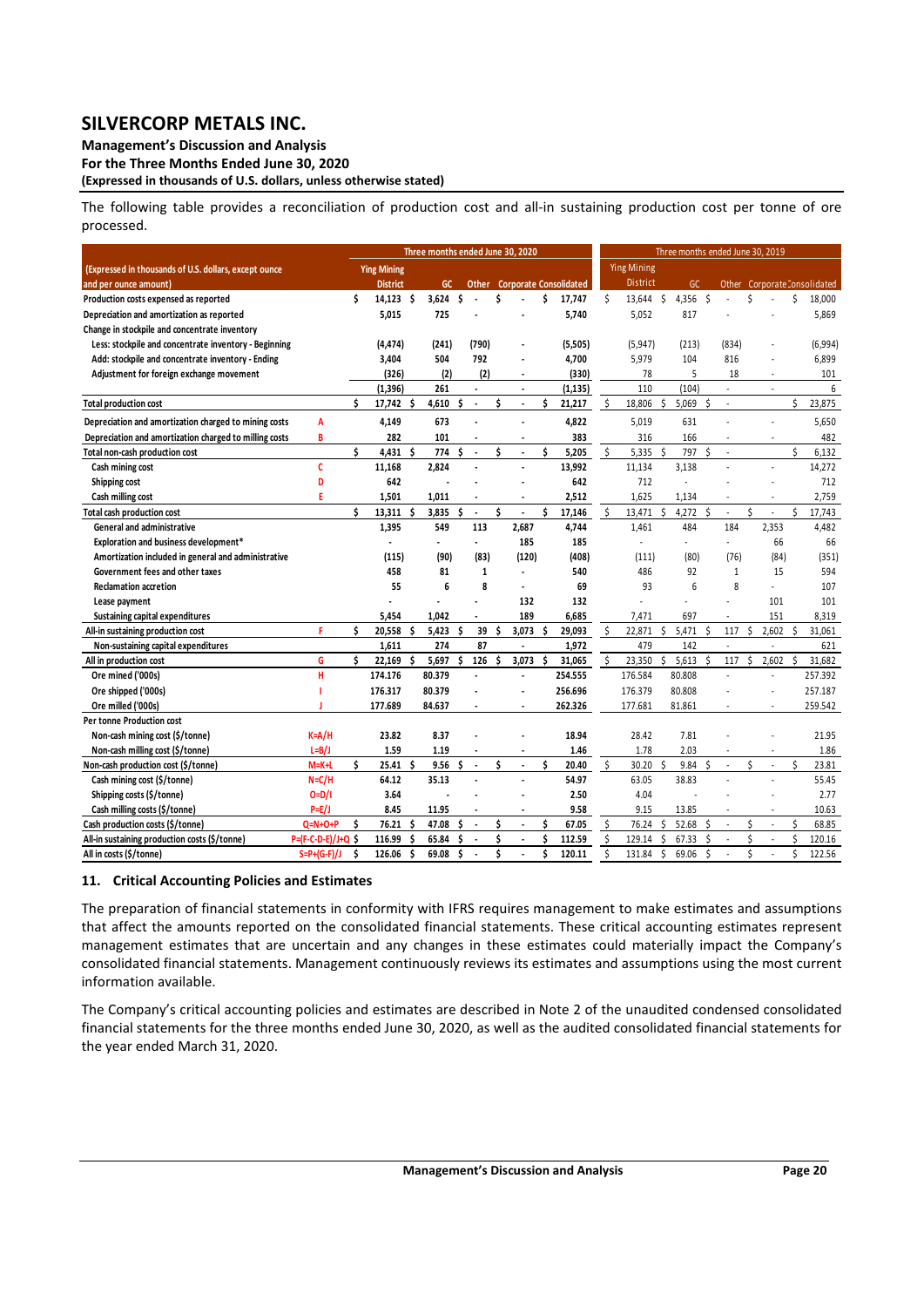**Management's Discussion and Analysis** 

**For the Three Months Ended June 30, 2020** 

**(Expressed in thousands of U.S. dollars, unless otherwise stated)** 

The following table provides a reconciliation of production cost and all-in sustaining production cost per tonne of ore processed.

|                                                        |                     |    |                    |    | Three months ended June 30, 2020 |    |                          |   |                          |    |                                     |    |                    |    | Three months ended June 30, 2019 |    |              |    |       |    |                             |
|--------------------------------------------------------|---------------------|----|--------------------|----|----------------------------------|----|--------------------------|---|--------------------------|----|-------------------------------------|----|--------------------|----|----------------------------------|----|--------------|----|-------|----|-----------------------------|
| (Expressed in thousands of U.S. dollars, except ounce  |                     |    | <b>Ying Mining</b> |    |                                  |    |                          |   |                          |    |                                     |    | <b>Ying Mining</b> |    |                                  |    |              |    |       |    |                             |
| and per ounce amount)                                  |                     |    | <b>District</b>    |    | <b>GC</b>                        |    |                          |   |                          |    | <b>Other</b> Corporate Consolidated |    | <b>District</b>    |    | GC.                              |    |              |    |       |    | Other CorporateConsolidated |
| Production costs expensed as reported                  |                     | \$ | 14.123 \$          |    | 3.624                            | \$ |                          | Ś |                          | \$ | 17,747                              | Ś  | 13,644 \$          |    | 4,356                            | Ŝ. |              | \$ |       | \$ | 18,000                      |
| Depreciation and amortization as reported              |                     |    | 5,015              |    | 725                              |    |                          |   |                          |    | 5,740                               |    | 5,052              |    | 817                              |    |              |    |       |    | 5,869                       |
| Change in stockpile and concentrate inventory          |                     |    |                    |    |                                  |    |                          |   |                          |    |                                     |    |                    |    |                                  |    |              |    |       |    |                             |
| Less: stockpile and concentrate inventory - Beginning  |                     |    | (4,474)            |    | (241)                            |    | (790)                    |   |                          |    | (5,505)                             |    | (5, 947)           |    | (213)                            |    | (834)        |    |       |    | (6,994)                     |
| Add: stockpile and concentrate inventory - Ending      |                     |    | 3,404              |    | 504                              |    | 792                      |   |                          |    | 4,700                               |    | 5,979              |    | 104                              |    | 816          |    |       |    | 6,899                       |
| Adjustment for foreign exchange movement               |                     |    | (326)              |    | (2)                              |    | (2)                      |   | $\overline{a}$           |    | (330)                               |    | 78                 |    | 5                                |    | 18           |    | ä,    |    | 101                         |
|                                                        |                     |    | (1, 396)           |    | 261                              |    |                          |   | $\overline{\phantom{a}}$ |    | (1, 135)                            |    | 110                |    | (104)                            |    | à,           |    | ×     |    | 6                           |
| <b>Total production cost</b>                           |                     | Ś. | 17,742 \$          |    | 4,610                            | Ś  | $\blacksquare$           | Ś | ÷,                       | \$ | 21,217                              | \$ | 18,806             | \$ | 5,069                            | Ś  | ä,           |    |       | \$ | 23,875                      |
| Depreciation and amortization charged to mining costs  | A                   |    | 4,149              |    | 673                              |    |                          |   | $\overline{a}$           |    | 4,822                               |    | 5,019              |    | 631                              |    |              |    | ä,    |    | 5,650                       |
| Depreciation and amortization charged to milling costs | B                   |    | 282                |    | 101                              |    |                          |   | $\overline{\phantom{a}}$ |    | 383                                 |    | 316                |    | 166                              |    | ä,           |    | ÷.    |    | 482                         |
| Total non-cash production cost                         |                     | Ś. | 4,431 \$           |    | 774                              | Ś  | $\overline{\phantom{a}}$ | Ś | ÷,                       | Ś  | 5,205                               | \$ | 5.335              | Ś  | 797                              | Ś  | ä,           |    |       | \$ | 6,132                       |
| Cash mining cost                                       | c                   |    | 11,168             |    | 2,824                            |    |                          |   | $\overline{\phantom{a}}$ |    | 13,992                              |    | 11,134             |    | 3,138                            |    | ł,           |    | ÷,    |    | 14,272                      |
| Shipping cost                                          | D                   |    | 642                |    |                                  |    |                          |   |                          |    | 642                                 |    | 712                |    | ä,                               |    |              |    |       |    | 712                         |
| Cash milling cost                                      | F                   |    | 1,501              |    | 1,011                            |    |                          |   |                          |    | 2,512                               |    | 1,625              |    | 1,134                            |    |              |    |       |    | 2,759                       |
| Total cash production cost                             |                     | ¢  | 13,311             | Ŝ. | 3,835                            | Ś  | $\overline{\phantom{a}}$ | Ś | $\overline{a}$           | Ś  | 17,146                              | \$ | 13,471             | \$ | 4,272                            | Ś  | ÷.           | \$ | ä,    | \$ | 17,743                      |
| <b>General and administrative</b>                      |                     |    | 1,395              |    | 549                              |    | 113                      |   | 2,687                    |    | 4,744                               |    | 1,461              |    | 484                              |    | 184          |    | 2,353 |    | 4,482                       |
| Exploration and business development*                  |                     |    | $\overline{a}$     |    | $\blacksquare$                   |    | $\blacksquare$           |   | 185                      |    | 185                                 |    | ÷.                 |    | ä,                               |    | ÷.           |    | 66    |    | 66                          |
| Amortization included in general and administrative    |                     |    | (115)              |    | (90)                             |    | (83)                     |   | (120)                    |    | (408)                               |    | (111)              |    | (80)                             |    | (76)         |    | (84)  |    | (351)                       |
| Government fees and other taxes                        |                     |    | 458                |    | 81                               |    | $\mathbf{1}$             |   |                          |    | 540                                 |    | 486                |    | 92                               |    | $\mathbf{1}$ |    | 15    |    | 594                         |
| <b>Reclamation accretion</b>                           |                     |    | 55                 |    | 6                                |    | 8                        |   | $\overline{a}$           |    | 69                                  |    | 93                 |    | 6                                |    | 8            |    | ÷.    |    | 107                         |
| Lease payment                                          |                     |    |                    |    |                                  |    |                          |   | 132                      |    | 132                                 |    |                    |    |                                  |    |              |    | 101   |    | 101                         |
| Sustaining capital expenditures                        |                     |    | 5,454              |    | 1,042                            |    |                          |   | 189                      |    | 6,685                               |    | 7.471              |    | 697                              |    |              |    | 151   |    | 8,319                       |
| All-in sustaining production cost                      | p                   | ¢  | 20,558             | Ŝ  | 5.423                            | Ś  | 39                       | Ś | 3,073                    | Ŝ  | 29,093                              |    | 22,871             | \$ | 5.471                            | Ś  | 117          | Ś  | 2,602 | Ś  | 31,061                      |
| Non-sustaining capital expenditures                    |                     |    | 1,611              |    | 274                              |    | 87                       |   | ÷,                       |    | 1,972                               |    | 479                |    | 142                              |    | ä,           |    | ÷,    |    | 621                         |
| All in production cost                                 | G                   | Ś. | 22,169             | Ś  | 5,697                            | Ś  | 126                      | Ś | 3,073                    | Ś  | 31,065                              | \$ | 23,350             | \$ | 5,613                            | Ś  | 117          | Ś  | 2,602 | Ś  | 31,682                      |
| Ore mined ('000s)                                      | H                   |    | 174.176            |    | 80.379                           |    |                          |   | $\overline{a}$           |    | 254.555                             |    | 176.584            |    | 80.808                           |    |              |    |       |    | 257.392                     |
| Ore shipped ('000s)                                    |                     |    | 176.317            |    | 80.379                           |    |                          |   |                          |    | 256.696                             |    | 176.379            |    | 80.808                           |    |              |    |       |    | 257.187                     |
| Ore milled ('000s)                                     |                     |    | 177.689            |    | 84.637                           |    |                          |   |                          |    | 262.326                             |    | 177.681            |    | 81.861                           |    |              |    |       |    | 259.542                     |
| Per tonne Production cost                              |                     |    |                    |    |                                  |    |                          |   |                          |    |                                     |    |                    |    |                                  |    |              |    |       |    |                             |
| Non-cash mining cost (\$/tonne)                        | $K = A/H$           |    | 23.82              |    | 8.37                             |    |                          |   |                          |    | 18.94                               |    | 28.42              |    | 7.81                             |    |              |    |       |    | 21.95                       |
| Non-cash milling cost (\$/tonne)                       | $L=B/J$             |    | 1.59               |    | 1.19                             |    |                          |   |                          |    | 1.46                                |    | 1.78               |    | 2.03                             |    |              |    |       |    | 1.86                        |
| Non-cash production cost (\$/tonne)                    | $M=K+L$             | ¢  | $25.41$ \$         |    | 9.56                             | Ś. | $\blacksquare$           | Ś | $\ddot{\phantom{a}}$     | Ś  | 20.40                               | \$ | 30.20              | Ś  | 9.84                             | Ŝ. | ä,           | Ś  |       | Ś  | 23.81                       |
| Cash mining cost (\$/tonne)                            | $N = C/H$           |    | 64.12              |    | 35.13                            |    |                          |   |                          |    | 54.97                               |    | 63.05              |    | 38.83                            |    |              |    |       |    | 55.45                       |
| Shipping costs (\$/tonne)                              | $O = D / I$         |    | 3.64               |    |                                  |    |                          |   |                          |    | 2.50                                |    | 4.04               |    |                                  |    |              |    |       |    | 2.77                        |
| Cash milling costs (\$/tonne)                          | $P=E/J$             |    | 8.45               |    | 11.95                            |    |                          |   | $\ddot{\phantom{a}}$     |    | 9.58                                |    | 9.15               |    | 13.85                            |    |              |    | ÷     |    | 10.63                       |
| Cash production costs (\$/tonne)                       | $Q=N+O+P$           | ¢  | 76.21              | Ś  | 47.08                            | Ś  | $\overline{\phantom{a}}$ | Ś | $\overline{\phantom{a}}$ | Ś  | 67.05                               | \$ | 76.24              | Ś. | 52.68                            | Ś  |              | \$ |       | Ś  | 68.85                       |
| All-in sustaining production costs (\$/tonne)          | P=(F-C-D-E)/J+Q S   |    | 116.99             | Ś  | 65.84                            | Ś  |                          | Ś | $\overline{\phantom{a}}$ | Ś  | 112.59                              | Ś  | 129.14             | \$ | 67.33                            | Ś  | ×,           | Ś  |       | Ś  | 120.16                      |
| All in costs (\$/tonne)                                | $S = P + (G - F)/J$ | Ś  | 126.06             | Ś. | 69.08                            | Ś  |                          | Ś |                          | Ś  | 120.11                              | Ś  | 131.84             | Ś. | 69.06                            | Ś  |              | \$ |       | Ś  | 122.56                      |

#### **11. Critical Accounting Policies and Estimates**

The preparation of financial statements in conformity with IFRS requires management to make estimates and assumptions that affect the amounts reported on the consolidated financial statements. These critical accounting estimates represent management estimates that are uncertain and any changes in these estimates could materially impact the Company's consolidated financial statements. Management continuously reviews its estimates and assumptions using the most current information available.

The Company's critical accounting policies and estimates are described in Note 2 of the unaudited condensed consolidated financial statements for the three months ended June 30, 2020, as well as the audited consolidated financial statements for the year ended March 31, 2020.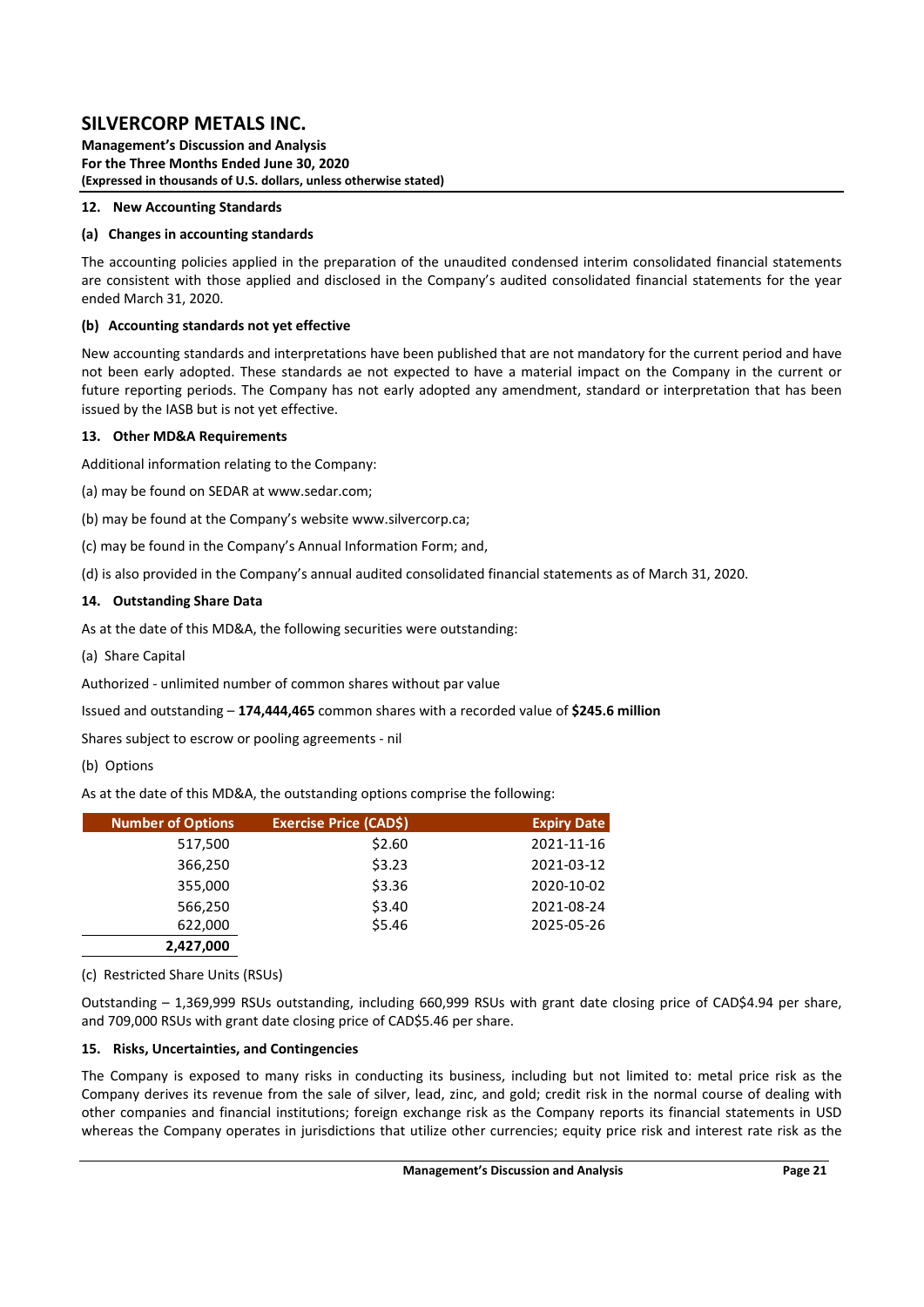**Management's Discussion and Analysis For the Three Months Ended June 30, 2020 (Expressed in thousands of U.S. dollars, unless otherwise stated)** 

### **12. New Accounting Standards**

### **(a) Changes in accounting standards**

The accounting policies applied in the preparation of the unaudited condensed interim consolidated financial statements are consistent with those applied and disclosed in the Company's audited consolidated financial statements for the year ended March 31, 2020.

### **(b) Accounting standards not yet effective**

New accounting standards and interpretations have been published that are not mandatory for the current period and have not been early adopted. These standards ae not expected to have a material impact on the Company in the current or future reporting periods. The Company has not early adopted any amendment, standard or interpretation that has been issued by the IASB but is not yet effective.

### **13. Other MD&A Requirements**

Additional information relating to the Company:

(a) may be found on SEDAR at www.sedar.com;

(b) may be found at the Company's website www.silvercorp.ca;

(c) may be found in the Company's Annual Information Form; and,

(d) is also provided in the Company's annual audited consolidated financial statements as of March 31, 2020.

### **14. Outstanding Share Data**

As at the date of this MD&A, the following securities were outstanding:

(a) Share Capital

Authorized ‐ unlimited number of common shares without par value

Issued and outstanding – **174,444,465** common shares with a recorded value of **\$245.6 million** 

Shares subject to escrow or pooling agreements ‐ nil

### (b) Options

As at the date of this MD&A, the outstanding options comprise the following:

| <b>Number of Options</b> | <b>Exercise Price (CAD\$)</b> | <b>Expiry Date</b> |
|--------------------------|-------------------------------|--------------------|
| 517,500                  | \$2.60                        | 2021-11-16         |
| 366,250                  | \$3.23                        | 2021-03-12         |
| 355,000                  | \$3.36                        | 2020-10-02         |
| 566,250                  | \$3.40                        | 2021-08-24         |
| 622,000                  | \$5.46                        | 2025-05-26         |
| 2,427,000                |                               |                    |

(c) Restricted Share Units (RSUs)

Outstanding – 1,369,999 RSUs outstanding, including 660,999 RSUs with grant date closing price of CAD\$4.94 per share, and 709,000 RSUs with grant date closing price of CAD\$5.46 per share.

#### **15. Risks, Uncertainties, and Contingencies**

The Company is exposed to many risks in conducting its business, including but not limited to: metal price risk as the Company derives its revenue from the sale of silver, lead, zinc, and gold; credit risk in the normal course of dealing with other companies and financial institutions; foreign exchange risk as the Company reports its financial statements in USD whereas the Company operates in jurisdictions that utilize other currencies; equity price risk and interest rate risk as the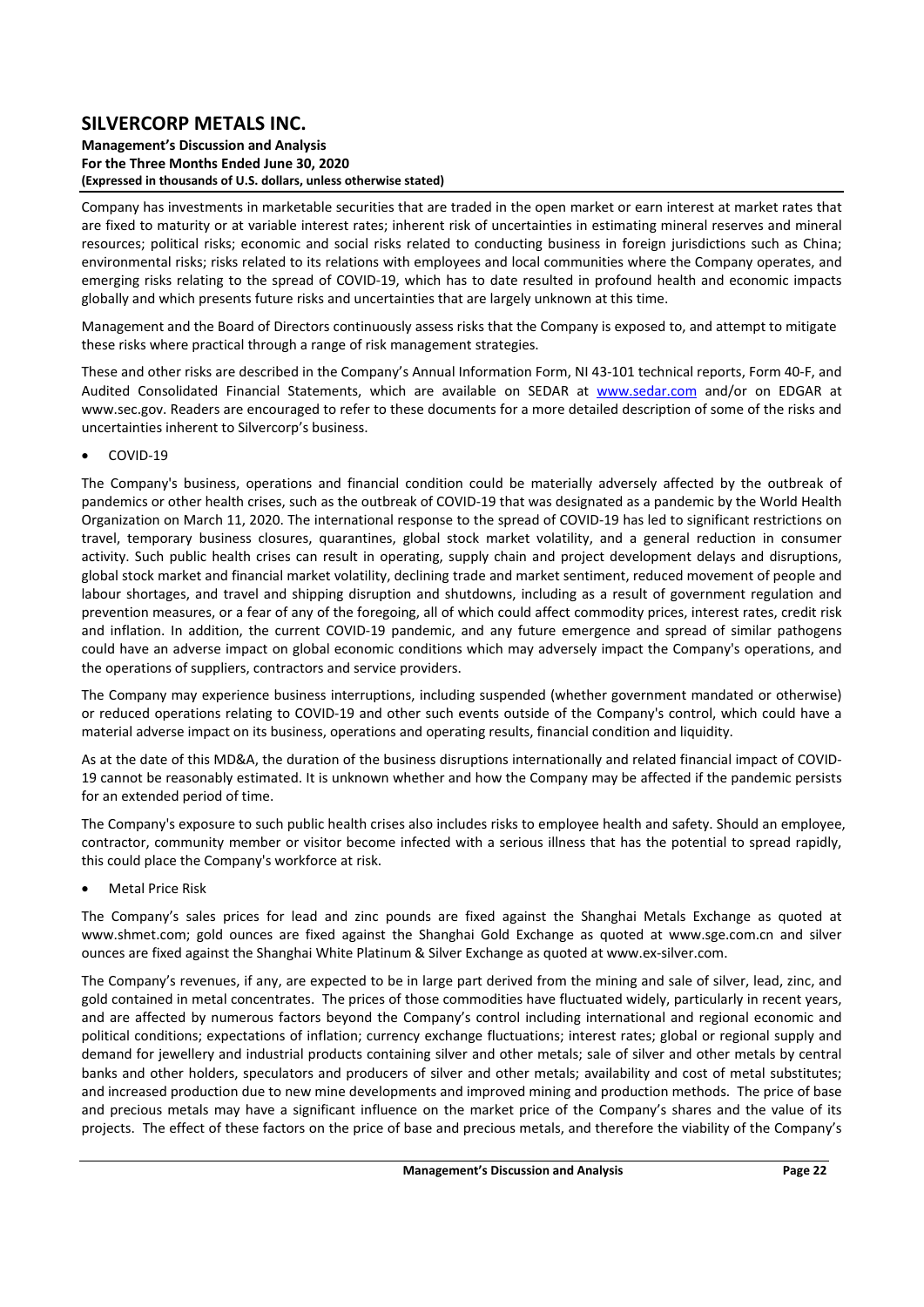#### **Management's Discussion and Analysis For the Three Months Ended June 30, 2020 (Expressed in thousands of U.S. dollars, unless otherwise stated)**

Company has investments in marketable securities that are traded in the open market or earn interest at market rates that are fixed to maturity or at variable interest rates; inherent risk of uncertainties in estimating mineral reserves and mineral resources; political risks; economic and social risks related to conducting business in foreign jurisdictions such as China; environmental risks; risks related to its relations with employees and local communities where the Company operates, and emerging risks relating to the spread of COVID-19, which has to date resulted in profound health and economic impacts globally and which presents future risks and uncertainties that are largely unknown at this time.

Management and the Board of Directors continuously assess risks that the Company is exposed to, and attempt to mitigate these risks where practical through a range of risk management strategies.

These and other risks are described in the Company's Annual Information Form, NI 43‐101 technical reports, Form 40‐F, and Audited Consolidated Financial Statements, which are available on SEDAR at www.sedar.com and/or on EDGAR at www.sec.gov. Readers are encouraged to refer to these documents for a more detailed description of some of the risks and uncertainties inherent to Silvercorp's business.

### COVID‐19

The Company's business, operations and financial condition could be materially adversely affected by the outbreak of pandemics or other health crises, such as the outbreak of COVID‐19 that was designated as a pandemic by the World Health Organization on March 11, 2020. The international response to the spread of COVID‐19 has led to significant restrictions on travel, temporary business closures, quarantines, global stock market volatility, and a general reduction in consumer activity. Such public health crises can result in operating, supply chain and project development delays and disruptions, global stock market and financial market volatility, declining trade and market sentiment, reduced movement of people and labour shortages, and travel and shipping disruption and shutdowns, including as a result of government regulation and prevention measures, or a fear of any of the foregoing, all of which could affect commodity prices, interest rates, credit risk and inflation. In addition, the current COVID-19 pandemic, and any future emergence and spread of similar pathogens could have an adverse impact on global economic conditions which may adversely impact the Company's operations, and the operations of suppliers, contractors and service providers.

The Company may experience business interruptions, including suspended (whether government mandated or otherwise) or reduced operations relating to COVID‐19 and other such events outside of the Company's control, which could have a material adverse impact on its business, operations and operating results, financial condition and liquidity.

As at the date of this MD&A, the duration of the business disruptions internationally and related financial impact of COVID‐ 19 cannot be reasonably estimated. It is unknown whether and how the Company may be affected if the pandemic persists for an extended period of time.

The Company's exposure to such public health crises also includes risks to employee health and safety. Should an employee, contractor, community member or visitor become infected with a serious illness that has the potential to spread rapidly, this could place the Company's workforce at risk.

Metal Price Risk

The Company's sales prices for lead and zinc pounds are fixed against the Shanghai Metals Exchange as quoted at www.shmet.com; gold ounces are fixed against the Shanghai Gold Exchange as quoted at www.sge.com.cn and silver ounces are fixed against the Shanghai White Platinum & Silver Exchange as quoted at www.ex‐silver.com.

The Company's revenues, if any, are expected to be in large part derived from the mining and sale of silver, lead, zinc, and gold contained in metal concentrates. The prices of those commodities have fluctuated widely, particularly in recent years, and are affected by numerous factors beyond the Company's control including international and regional economic and political conditions; expectations of inflation; currency exchange fluctuations; interest rates; global or regional supply and demand for jewellery and industrial products containing silver and other metals; sale of silver and other metals by central banks and other holders, speculators and producers of silver and other metals; availability and cost of metal substitutes; and increased production due to new mine developments and improved mining and production methods. The price of base and precious metals may have a significant influence on the market price of the Company's shares and the value of its projects. The effect of these factors on the price of base and precious metals, and therefore the viability of the Company's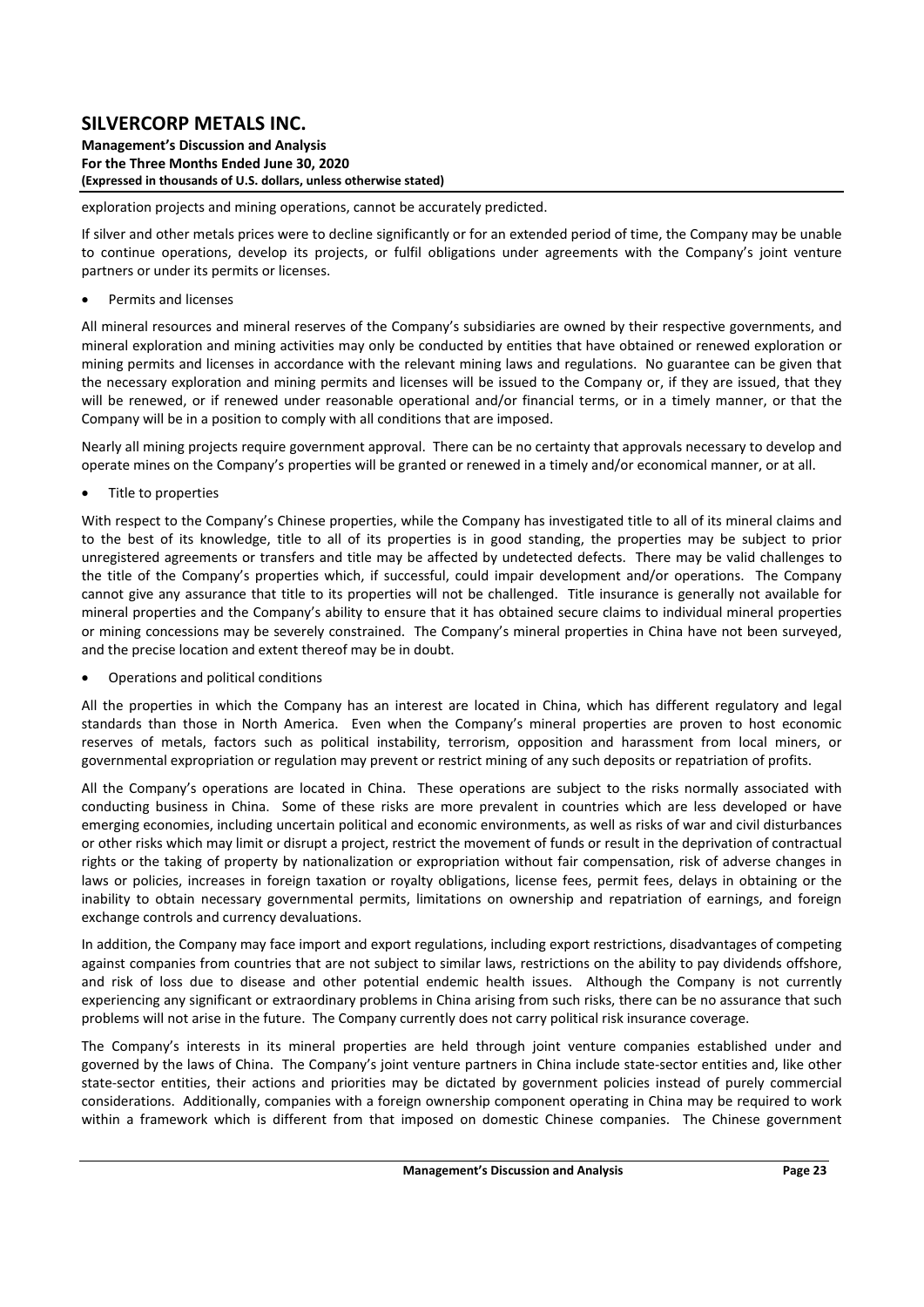**Management's Discussion and Analysis For the Three Months Ended June 30, 2020 (Expressed in thousands of U.S. dollars, unless otherwise stated)** 

exploration projects and mining operations, cannot be accurately predicted.

If silver and other metals prices were to decline significantly or for an extended period of time, the Company may be unable to continue operations, develop its projects, or fulfil obligations under agreements with the Company's ioint venture partners or under its permits or licenses.

Permits and licenses

All mineral resources and mineral reserves of the Company's subsidiaries are owned by their respective governments, and mineral exploration and mining activities may only be conducted by entities that have obtained or renewed exploration or mining permits and licenses in accordance with the relevant mining laws and regulations. No guarantee can be given that the necessary exploration and mining permits and licenses will be issued to the Company or, if they are issued, that they will be renewed, or if renewed under reasonable operational and/or financial terms, or in a timely manner, or that the Company will be in a position to comply with all conditions that are imposed.

Nearly all mining projects require government approval. There can be no certainty that approvals necessary to develop and operate mines on the Company's properties will be granted or renewed in a timely and/or economical manner, or at all.

Title to properties

With respect to the Company's Chinese properties, while the Company has investigated title to all of its mineral claims and to the best of its knowledge, title to all of its properties is in good standing, the properties may be subject to prior unregistered agreements or transfers and title may be affected by undetected defects. There may be valid challenges to the title of the Company's properties which, if successful, could impair development and/or operations. The Company cannot give any assurance that title to its properties will not be challenged. Title insurance is generally not available for mineral properties and the Company's ability to ensure that it has obtained secure claims to individual mineral properties or mining concessions may be severely constrained. The Company's mineral properties in China have not been surveyed, and the precise location and extent thereof may be in doubt.

Operations and political conditions

All the properties in which the Company has an interest are located in China, which has different regulatory and legal standards than those in North America. Even when the Company's mineral properties are proven to host economic reserves of metals, factors such as political instability, terrorism, opposition and harassment from local miners, or governmental expropriation or regulation may prevent or restrict mining of any such deposits or repatriation of profits.

All the Company's operations are located in China. These operations are subject to the risks normally associated with conducting business in China. Some of these risks are more prevalent in countries which are less developed or have emerging economies, including uncertain political and economic environments, as well as risks of war and civil disturbances or other risks which may limit or disrupt a project, restrict the movement of funds or result in the deprivation of contractual rights or the taking of property by nationalization or expropriation without fair compensation, risk of adverse changes in laws or policies, increases in foreign taxation or royalty obligations, license fees, permit fees, delays in obtaining or the inability to obtain necessary governmental permits, limitations on ownership and repatriation of earnings, and foreign exchange controls and currency devaluations.

In addition, the Company may face import and export regulations, including export restrictions, disadvantages of competing against companies from countries that are not subject to similar laws, restrictions on the ability to pay dividends offshore, and risk of loss due to disease and other potential endemic health issues. Although the Company is not currently experiencing any significant or extraordinary problems in China arising from such risks, there can be no assurance that such problems will not arise in the future. The Company currently does not carry political risk insurance coverage.

The Company's interests in its mineral properties are held through joint venture companies established under and governed by the laws of China. The Company's joint venture partners in China include state‐sector entities and, like other state-sector entities, their actions and priorities may be dictated by government policies instead of purely commercial considerations. Additionally, companies with a foreign ownership component operating in China may be required to work within a framework which is different from that imposed on domestic Chinese companies. The Chinese government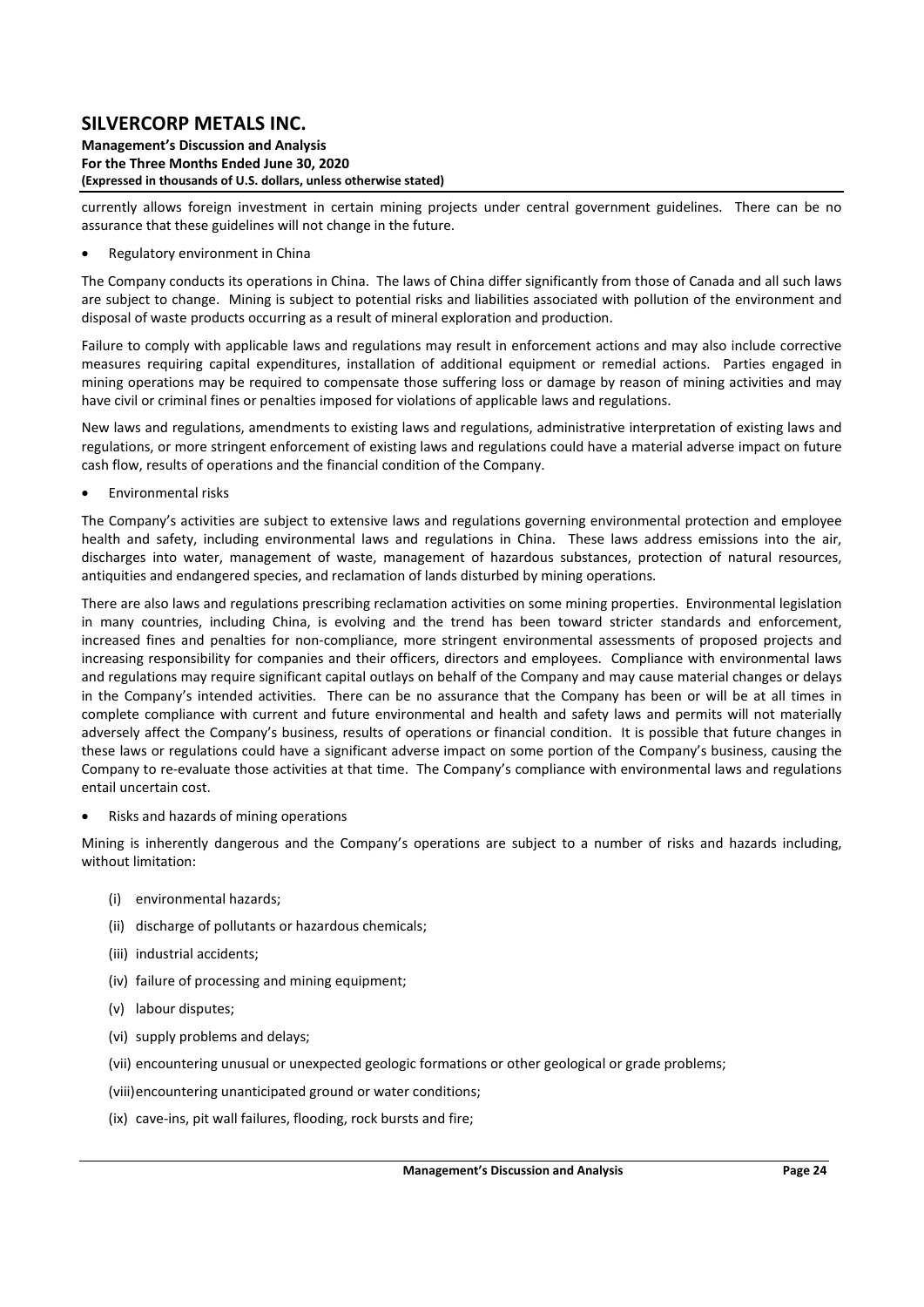#### **Management's Discussion and Analysis For the Three Months Ended June 30, 2020 (Expressed in thousands of U.S. dollars, unless otherwise stated)**

currently allows foreign investment in certain mining projects under central government guidelines. There can be no assurance that these guidelines will not change in the future.

Regulatory environment in China

The Company conducts its operations in China. The laws of China differ significantly from those of Canada and all such laws are subject to change. Mining is subject to potential risks and liabilities associated with pollution of the environment and disposal of waste products occurring as a result of mineral exploration and production.

Failure to comply with applicable laws and regulations may result in enforcement actions and may also include corrective measures requiring capital expenditures, installation of additional equipment or remedial actions. Parties engaged in mining operations may be required to compensate those suffering loss or damage by reason of mining activities and may have civil or criminal fines or penalties imposed for violations of applicable laws and regulations.

New laws and regulations, amendments to existing laws and regulations, administrative interpretation of existing laws and regulations, or more stringent enforcement of existing laws and regulations could have a material adverse impact on future cash flow, results of operations and the financial condition of the Company.

Environmental risks

The Company's activities are subject to extensive laws and regulations governing environmental protection and employee health and safety, including environmental laws and regulations in China. These laws address emissions into the air, discharges into water, management of waste, management of hazardous substances, protection of natural resources, antiquities and endangered species, and reclamation of lands disturbed by mining operations.

There are also laws and regulations prescribing reclamation activities on some mining properties. Environmental legislation in many countries, including China, is evolving and the trend has been toward stricter standards and enforcement, increased fines and penalties for non-compliance, more stringent environmental assessments of proposed projects and increasing responsibility for companies and their officers, directors and employees. Compliance with environmental laws and regulations may require significant capital outlays on behalf of the Company and may cause material changes or delays in the Company's intended activities. There can be no assurance that the Company has been or will be at all times in complete compliance with current and future environmental and health and safety laws and permits will not materially adversely affect the Company's business, results of operations or financial condition. It is possible that future changes in these laws or regulations could have a significant adverse impact on some portion of the Company's business, causing the Company to re‐evaluate those activities at that time. The Company's compliance with environmental laws and regulations entail uncertain cost.

Risks and hazards of mining operations

Mining is inherently dangerous and the Company's operations are subject to a number of risks and hazards including, without limitation:

- (i) environmental hazards;
- (ii) discharge of pollutants or hazardous chemicals;
- (iii) industrial accidents;
- (iv) failure of processing and mining equipment:
- (v) labour disputes;
- (vi) supply problems and delays;
- (vii) encountering unusual or unexpected geologic formations or other geological or grade problems;
- (viii)encountering unanticipated ground or water conditions;
- (ix) cave‐ins, pit wall failures, flooding, rock bursts and fire;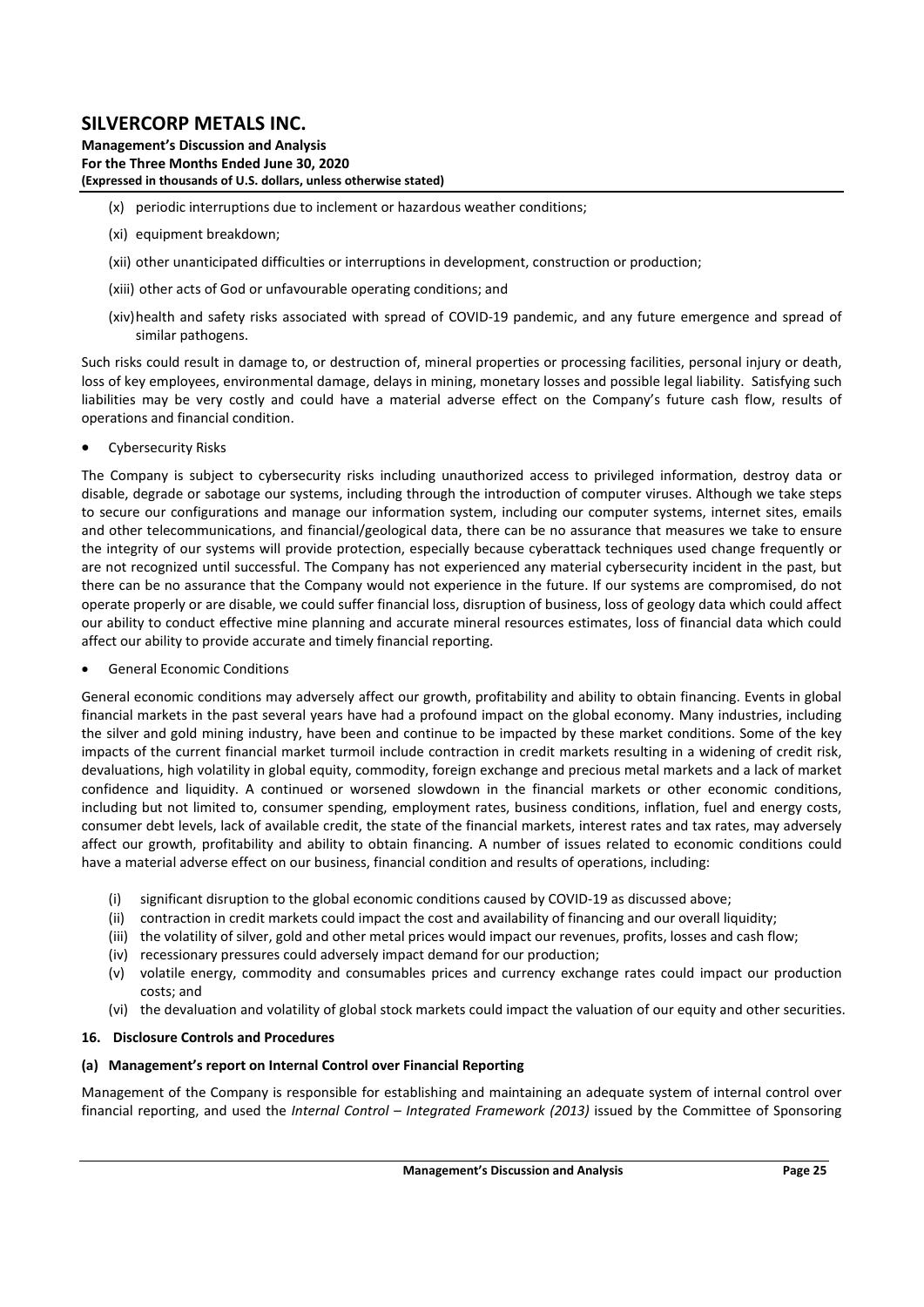**Management's Discussion and Analysis For the Three Months Ended June 30, 2020 (Expressed in thousands of U.S. dollars, unless otherwise stated)** 

- (x) periodic interruptions due to inclement or hazardous weather conditions;
- (xi) equipment breakdown;
- (xii) other unanticipated difficulties or interruptions in development, construction or production;
- (xiii) other acts of God or unfavourable operating conditions; and
- (xiv)health and safety risks associated with spread of COVID-19 pandemic, and any future emergence and spread of similar pathogens.

Such risks could result in damage to, or destruction of, mineral properties or processing facilities, personal injury or death, loss of key employees, environmental damage, delays in mining, monetary losses and possible legal liability. Satisfying such liabilities may be very costly and could have a material adverse effect on the Company's future cash flow, results of operations and financial condition.

Cybersecurity Risks

The Company is subject to cybersecurity risks including unauthorized access to privileged information, destroy data or disable, degrade or sabotage our systems, including through the introduction of computer viruses. Although we take steps to secure our configurations and manage our information system, including our computer systems, internet sites, emails and other telecommunications, and financial/geological data, there can be no assurance that measures we take to ensure the integrity of our systems will provide protection, especially because cyberattack techniques used change frequently or are not recognized until successful. The Company has not experienced any material cybersecurity incident in the past, but there can be no assurance that the Company would not experience in the future. If our systems are compromised, do not operate properly or are disable, we could suffer financial loss, disruption of business, loss of geology data which could affect our ability to conduct effective mine planning and accurate mineral resources estimates, loss of financial data which could affect our ability to provide accurate and timely financial reporting.

General Economic Conditions

General economic conditions may adversely affect our growth, profitability and ability to obtain financing. Events in global financial markets in the past several years have had a profound impact on the global economy. Many industries, including the silver and gold mining industry, have been and continue to be impacted by these market conditions. Some of the key impacts of the current financial market turmoil include contraction in credit markets resulting in a widening of credit risk, devaluations, high volatility in global equity, commodity, foreign exchange and precious metal markets and a lack of market confidence and liquidity. A continued or worsened slowdown in the financial markets or other economic conditions, including but not limited to, consumer spending, employment rates, business conditions, inflation, fuel and energy costs, consumer debt levels, lack of available credit, the state of the financial markets, interest rates and tax rates, may adversely affect our growth, profitability and ability to obtain financing. A number of issues related to economic conditions could have a material adverse effect on our business, financial condition and results of operations, including:

- (i) significant disruption to the global economic conditions caused by COVID‐19 as discussed above;
- (ii) contraction in credit markets could impact the cost and availability of financing and our overall liquidity;
- (iii) the volatility of silver, gold and other metal prices would impact our revenues, profits, losses and cash flow;
- (iv) recessionary pressures could adversely impact demand for our production;
- (v) volatile energy, commodity and consumables prices and currency exchange rates could impact our production costs; and
- (vi) the devaluation and volatility of global stock markets could impact the valuation of our equity and other securities.

#### **16. Disclosure Controls and Procedures**

#### **(a) Management's report on Internal Control over Financial Reporting**

Management of the Company is responsible for establishing and maintaining an adequate system of internal control over financial reporting, and used the *Internal Control – Integrated Framework (2013)* issued by the Committee of Sponsoring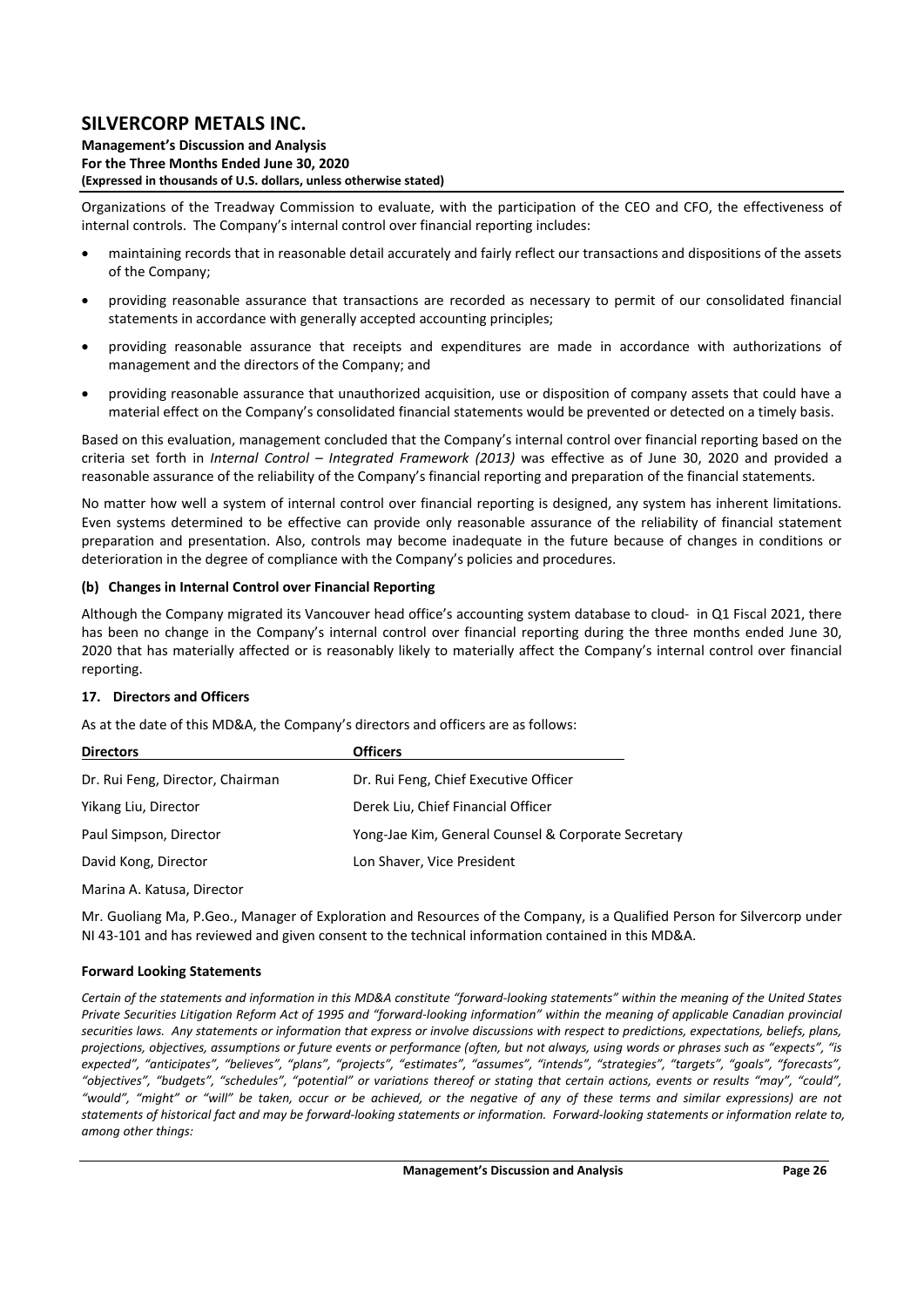**Management's Discussion and Analysis For the Three Months Ended June 30, 2020 (Expressed in thousands of U.S. dollars, unless otherwise stated)** 

Organizations of the Treadway Commission to evaluate, with the participation of the CEO and CFO, the effectiveness of internal controls. The Company's internal control over financial reporting includes:

- maintaining records that in reasonable detail accurately and fairly reflect our transactions and dispositions of the assets of the Company;
- providing reasonable assurance that transactions are recorded as necessary to permit of our consolidated financial statements in accordance with generally accepted accounting principles;
- providing reasonable assurance that receipts and expenditures are made in accordance with authorizations of management and the directors of the Company; and
- providing reasonable assurance that unauthorized acquisition, use or disposition of company assets that could have a material effect on the Company's consolidated financial statements would be prevented or detected on a timely basis.

Based on this evaluation, management concluded that the Company's internal control over financial reporting based on the criteria set forth in *Internal Control – Integrated Framework (2013)* was effective as of June 30, 2020 and provided a reasonable assurance of the reliability of the Company's financial reporting and preparation of the financial statements.

No matter how well a system of internal control over financial reporting is designed, any system has inherent limitations. Even systems determined to be effective can provide only reasonable assurance of the reliability of financial statement preparation and presentation. Also, controls may become inadequate in the future because of changes in conditions or deterioration in the degree of compliance with the Company's policies and procedures.

### **(b) Changes in Internal Control over Financial Reporting**

Although the Company migrated its Vancouver head office's accounting system database to cloud‐ in Q1 Fiscal 2021, there has been no change in the Company's internal control over financial reporting during the three months ended June 30, 2020 that has materially affected or is reasonably likely to materially affect the Company's internal control over financial reporting.

### **17. Directors and Officers**

As at the date of this MD&A, the Company's directors and officers are as follows:

| <b>Directors</b>                 | <b>Officers</b>                                     |
|----------------------------------|-----------------------------------------------------|
| Dr. Rui Feng, Director, Chairman | Dr. Rui Feng, Chief Executive Officer               |
| Yikang Liu, Director             | Derek Liu, Chief Financial Officer                  |
| Paul Simpson, Director           | Yong-Jae Kim, General Counsel & Corporate Secretary |
| David Kong, Director             | Lon Shaver, Vice President                          |

Marina A. Katusa, Director

Mr. Guoliang Ma, P.Geo., Manager of Exploration and Resources of the Company, is a Qualified Person for Silvercorp under NI 43‐101 and has reviewed and given consent to the technical information contained in this MD&A.

#### **Forward Looking Statements**

*Certain of the statements and information in this MD&A constitute "forward‐looking statements" within the meaning of the United States Private Securities Litigation Reform Act of 1995 and "forward‐looking information" within the meaning of applicable Canadian provincial securities laws. Any statements or information that express or involve discussions with respect to predictions, expectations, beliefs, plans, projections, objectives, assumptions or future events or performance (often, but not always, using words or phrases such as "expects", "is expected", "anticipates", "believes", "plans", "projects", "estimates", "assumes", "intends", "strategies", "targets", "goals", "forecasts", "objectives", "budgets", "schedules", "potential" or variations thereof or stating that certain actions, events or results "may", "could", "would", "might" or "will" be taken, occur or be achieved, or the negative of any of these terms and similar expressions) are not statements of historical fact and may be forward‐looking statements or information. Forward‐looking statements or information relate to, among other things:*